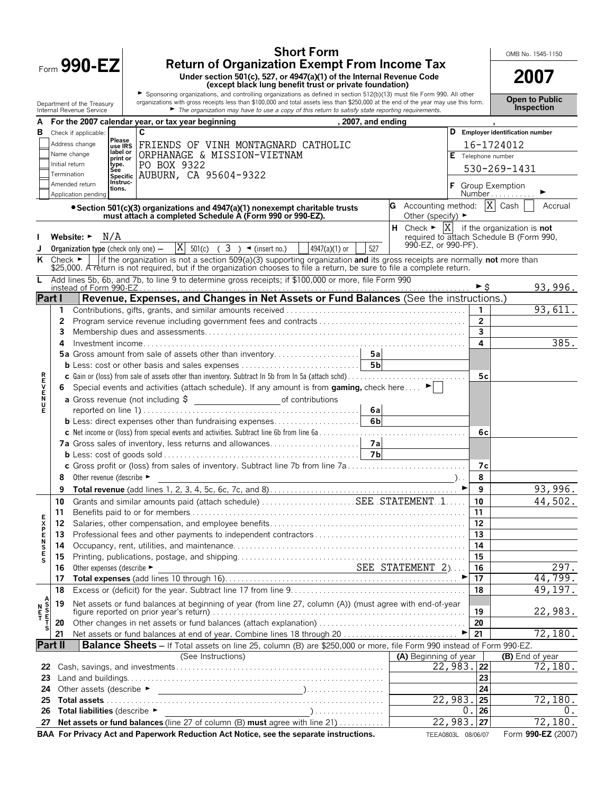| <b>Return of Organization Exempt From Income Tax</b><br>Form $990 - EZ$<br>2007<br>Under section 501(c), 527, or 4947(a)(1) of the Internal Revenue Code<br>(except black lung benefit trust or private foundation)<br>Sponsoring organizations, and controlling organizations as defined in section 512(b)(13) must file Form 990. All other<br><b>Open to Public</b><br>organizations with gross receipts less than \$100,000 and total assets less than \$250,000 at the end of the year may use this form.<br>Department of the Treasury<br><b>Inspection</b><br>$\blacktriangleright$ The organization may have to use a copy of this return to satisfy state reporting requirements.<br>Internal Revenue Service<br>For the 2007 calendar year, or tax year beginning<br>, 2007, and ending<br>C<br>D Employer identification number<br>в<br>Check if applicable:<br>Please<br>Address change<br>FRIENDS OF VINH MONTAGNARD CATHOLIC<br>16-1724012<br>use IRS<br>label or<br>Name change<br>ORPHANAGE & MISSION-VIETNAM<br>E Telephone number<br>print or<br>PO BOX 9322<br>Initial return<br>type.<br>530-269-1431<br>Sée<br>AUBURN, CA 95604-9322<br>Termination<br><b>Specific</b><br>Instruc-<br>Amended return<br><b>Group Exemption</b><br>tions.<br>Number<br>Application pending<br>G Accounting method: $ X $ Cash<br>Accrual<br>• Section 501(c)(3) organizations and 4947(a)(1) nonexempt charitable trusts<br>must attach a completed Schedule A (Form 990 or 990-EZ).<br>Other (specify) $\blacktriangleright$<br><b>H</b> Check $\blacktriangleright$ $ X $ if the organization is <b>not</b><br>N/A<br>required to attach Schedule B (Form 990,<br>Website: $\blacktriangleright$<br>990-EZ, or 990-PF).<br>$\overline{X}$ 501(c) ( 3 ) < (insert no.)<br>527<br>4947(a)(1) or<br>Organization type (check only one) $-$<br>Check $\blacktriangleright$<br>if the organization is not a section 509(a)(3) supporting organization and its gross receipts are normally not more than<br>ĸ<br>\$25,000. A return is not required, but if the organization chooses to file a return, be sure to file a complete return.<br>Add lines 5b, 6b, and 7b, to line 9 to determine gross receipts; if \$100,000 or more, file Form 990<br>L<br>93,996.<br>►Ŝ<br>instead of Form 990-EZ<br>Revenue, Expenses, and Changes in Net Assets or Fund Balances (See the instructions.)<br>Part I<br>93,611.<br>1<br>$\overline{2}$<br>2<br>3<br>3<br>385.<br>4<br>4<br><b>RHVEND</b><br>c Gain or (loss) from sale of assets other than inventory. Subtract In 5b from In 5a (attach schd)<br>5c<br>Special events and activities (attach schedule). If any amount is from gaming, check here<br>6.<br>a Gross revenue (not including \$ _______________________________of contributions<br>6al<br>Е<br>6 <sub>b</sub><br><b>b</b> Less: direct expenses other than fundraising expenses<br>6с<br>c Gross profit or (loss) from sales of inventory. Subtract line 7b from line 7a<br>7c<br>Other revenue (describe ►<br>8<br>8<br>93,996.<br>9<br>▶<br>9<br>Grants and similar amounts paid (attach schedule) SEE STATEMENT. .1.<br>44,502.<br>10<br>10<br>11<br>11<br><b>EXPENSE</b><br>12<br>12<br>13<br>13<br>14<br>14<br>15<br>15<br>s<br>297.<br>Other expenses (describe $\blacktriangleright$ SEE STATEMENT 2)<br>Other expenses (describe ►<br>16<br>16<br>44,799.<br>17<br>17<br>49,197.<br>18<br>18<br>A<br>S<br>T<br>T<br>Net assets or fund balances at beginning of year (from line 27, column (A)) (must agree with end-of-year<br>19<br>N<br>E<br>T<br>22,983.<br>19<br>20<br>20<br>s<br>72,180.<br>21<br>21<br><b>Part II</b><br>Balance Sheets - If Total assets on line 25, column (B) are \$250,000 or more, file Form 990 instead of Form 990-EZ.<br>(See Instructions)<br>(A) Beginning of year<br>(B) End of year<br>22,983.22<br>72,180.<br>22<br>23<br>23<br>24<br>24<br>22,983.<br>72,180.<br>25<br>25<br>0.<br>26<br>0.<br>26<br>Total liabilities (describe ▶<br>22,983.<br>72,180.<br>Net assets or fund balances (line 27 of column (B) must agree with line 21)<br>27<br>27<br>BAA For Privacy Act and Paperwork Reduction Act Notice, see the separate instructions.<br>Form 990-EZ (2007)<br>TEEA0803L 08/06/07 |  | <b>Short Form</b> |  |  | OMB No. 1545-1150 |
|-----------------------------------------------------------------------------------------------------------------------------------------------------------------------------------------------------------------------------------------------------------------------------------------------------------------------------------------------------------------------------------------------------------------------------------------------------------------------------------------------------------------------------------------------------------------------------------------------------------------------------------------------------------------------------------------------------------------------------------------------------------------------------------------------------------------------------------------------------------------------------------------------------------------------------------------------------------------------------------------------------------------------------------------------------------------------------------------------------------------------------------------------------------------------------------------------------------------------------------------------------------------------------------------------------------------------------------------------------------------------------------------------------------------------------------------------------------------------------------------------------------------------------------------------------------------------------------------------------------------------------------------------------------------------------------------------------------------------------------------------------------------------------------------------------------------------------------------------------------------------------------------------------------------------------------------------------------------------------------------------------------------------------------------------------------------------------------------------------------------------------------------------------------------------------------------------------------------------------------------------------------------------------------------------------------------------------------------------------------------------------------------------------------------------------------------------------------------------------------------------------------------------------------------------------------------------------------------------------------------------------------------------------------------------------------------------------------------------------------------------------------------------------------------------------------------------------------------------------------------------------------------------------------------------------------------------------------------------------------------------------------------------------------------------------------------------------------------------------------------------------------------------------------------------------------------------------------------------------------------------------------------------------------------------------------------------------------------------------------------------------------------------------------------------------------------------------------------------------------------------------------------------------------------------------------------------------------------------------------------------------------------------------------------------------------------------------------------------------------------------------------------------------------------------------------------------------------------------------------------------------------------------------------------------------------------------------------------------------------------------------------------------------------------------------------------------------------------------------------------------------------------------------------------------------------------------------------------------------------------------------|--|-------------------|--|--|-------------------|
|                                                                                                                                                                                                                                                                                                                                                                                                                                                                                                                                                                                                                                                                                                                                                                                                                                                                                                                                                                                                                                                                                                                                                                                                                                                                                                                                                                                                                                                                                                                                                                                                                                                                                                                                                                                                                                                                                                                                                                                                                                                                                                                                                                                                                                                                                                                                                                                                                                                                                                                                                                                                                                                                                                                                                                                                                                                                                                                                                                                                                                                                                                                                                                                                                                                                                                                                                                                                                                                                                                                                                                                                                                                                                                                                                                                                                                                                                                                                                                                                                                                                                                                                                                                                                                                     |  |                   |  |  |                   |
|                                                                                                                                                                                                                                                                                                                                                                                                                                                                                                                                                                                                                                                                                                                                                                                                                                                                                                                                                                                                                                                                                                                                                                                                                                                                                                                                                                                                                                                                                                                                                                                                                                                                                                                                                                                                                                                                                                                                                                                                                                                                                                                                                                                                                                                                                                                                                                                                                                                                                                                                                                                                                                                                                                                                                                                                                                                                                                                                                                                                                                                                                                                                                                                                                                                                                                                                                                                                                                                                                                                                                                                                                                                                                                                                                                                                                                                                                                                                                                                                                                                                                                                                                                                                                                                     |  |                   |  |  |                   |
|                                                                                                                                                                                                                                                                                                                                                                                                                                                                                                                                                                                                                                                                                                                                                                                                                                                                                                                                                                                                                                                                                                                                                                                                                                                                                                                                                                                                                                                                                                                                                                                                                                                                                                                                                                                                                                                                                                                                                                                                                                                                                                                                                                                                                                                                                                                                                                                                                                                                                                                                                                                                                                                                                                                                                                                                                                                                                                                                                                                                                                                                                                                                                                                                                                                                                                                                                                                                                                                                                                                                                                                                                                                                                                                                                                                                                                                                                                                                                                                                                                                                                                                                                                                                                                                     |  |                   |  |  |                   |
|                                                                                                                                                                                                                                                                                                                                                                                                                                                                                                                                                                                                                                                                                                                                                                                                                                                                                                                                                                                                                                                                                                                                                                                                                                                                                                                                                                                                                                                                                                                                                                                                                                                                                                                                                                                                                                                                                                                                                                                                                                                                                                                                                                                                                                                                                                                                                                                                                                                                                                                                                                                                                                                                                                                                                                                                                                                                                                                                                                                                                                                                                                                                                                                                                                                                                                                                                                                                                                                                                                                                                                                                                                                                                                                                                                                                                                                                                                                                                                                                                                                                                                                                                                                                                                                     |  |                   |  |  |                   |
|                                                                                                                                                                                                                                                                                                                                                                                                                                                                                                                                                                                                                                                                                                                                                                                                                                                                                                                                                                                                                                                                                                                                                                                                                                                                                                                                                                                                                                                                                                                                                                                                                                                                                                                                                                                                                                                                                                                                                                                                                                                                                                                                                                                                                                                                                                                                                                                                                                                                                                                                                                                                                                                                                                                                                                                                                                                                                                                                                                                                                                                                                                                                                                                                                                                                                                                                                                                                                                                                                                                                                                                                                                                                                                                                                                                                                                                                                                                                                                                                                                                                                                                                                                                                                                                     |  |                   |  |  |                   |
|                                                                                                                                                                                                                                                                                                                                                                                                                                                                                                                                                                                                                                                                                                                                                                                                                                                                                                                                                                                                                                                                                                                                                                                                                                                                                                                                                                                                                                                                                                                                                                                                                                                                                                                                                                                                                                                                                                                                                                                                                                                                                                                                                                                                                                                                                                                                                                                                                                                                                                                                                                                                                                                                                                                                                                                                                                                                                                                                                                                                                                                                                                                                                                                                                                                                                                                                                                                                                                                                                                                                                                                                                                                                                                                                                                                                                                                                                                                                                                                                                                                                                                                                                                                                                                                     |  |                   |  |  |                   |
|                                                                                                                                                                                                                                                                                                                                                                                                                                                                                                                                                                                                                                                                                                                                                                                                                                                                                                                                                                                                                                                                                                                                                                                                                                                                                                                                                                                                                                                                                                                                                                                                                                                                                                                                                                                                                                                                                                                                                                                                                                                                                                                                                                                                                                                                                                                                                                                                                                                                                                                                                                                                                                                                                                                                                                                                                                                                                                                                                                                                                                                                                                                                                                                                                                                                                                                                                                                                                                                                                                                                                                                                                                                                                                                                                                                                                                                                                                                                                                                                                                                                                                                                                                                                                                                     |  |                   |  |  |                   |
|                                                                                                                                                                                                                                                                                                                                                                                                                                                                                                                                                                                                                                                                                                                                                                                                                                                                                                                                                                                                                                                                                                                                                                                                                                                                                                                                                                                                                                                                                                                                                                                                                                                                                                                                                                                                                                                                                                                                                                                                                                                                                                                                                                                                                                                                                                                                                                                                                                                                                                                                                                                                                                                                                                                                                                                                                                                                                                                                                                                                                                                                                                                                                                                                                                                                                                                                                                                                                                                                                                                                                                                                                                                                                                                                                                                                                                                                                                                                                                                                                                                                                                                                                                                                                                                     |  |                   |  |  |                   |
|                                                                                                                                                                                                                                                                                                                                                                                                                                                                                                                                                                                                                                                                                                                                                                                                                                                                                                                                                                                                                                                                                                                                                                                                                                                                                                                                                                                                                                                                                                                                                                                                                                                                                                                                                                                                                                                                                                                                                                                                                                                                                                                                                                                                                                                                                                                                                                                                                                                                                                                                                                                                                                                                                                                                                                                                                                                                                                                                                                                                                                                                                                                                                                                                                                                                                                                                                                                                                                                                                                                                                                                                                                                                                                                                                                                                                                                                                                                                                                                                                                                                                                                                                                                                                                                     |  |                   |  |  |                   |
|                                                                                                                                                                                                                                                                                                                                                                                                                                                                                                                                                                                                                                                                                                                                                                                                                                                                                                                                                                                                                                                                                                                                                                                                                                                                                                                                                                                                                                                                                                                                                                                                                                                                                                                                                                                                                                                                                                                                                                                                                                                                                                                                                                                                                                                                                                                                                                                                                                                                                                                                                                                                                                                                                                                                                                                                                                                                                                                                                                                                                                                                                                                                                                                                                                                                                                                                                                                                                                                                                                                                                                                                                                                                                                                                                                                                                                                                                                                                                                                                                                                                                                                                                                                                                                                     |  |                   |  |  |                   |
|                                                                                                                                                                                                                                                                                                                                                                                                                                                                                                                                                                                                                                                                                                                                                                                                                                                                                                                                                                                                                                                                                                                                                                                                                                                                                                                                                                                                                                                                                                                                                                                                                                                                                                                                                                                                                                                                                                                                                                                                                                                                                                                                                                                                                                                                                                                                                                                                                                                                                                                                                                                                                                                                                                                                                                                                                                                                                                                                                                                                                                                                                                                                                                                                                                                                                                                                                                                                                                                                                                                                                                                                                                                                                                                                                                                                                                                                                                                                                                                                                                                                                                                                                                                                                                                     |  |                   |  |  |                   |
|                                                                                                                                                                                                                                                                                                                                                                                                                                                                                                                                                                                                                                                                                                                                                                                                                                                                                                                                                                                                                                                                                                                                                                                                                                                                                                                                                                                                                                                                                                                                                                                                                                                                                                                                                                                                                                                                                                                                                                                                                                                                                                                                                                                                                                                                                                                                                                                                                                                                                                                                                                                                                                                                                                                                                                                                                                                                                                                                                                                                                                                                                                                                                                                                                                                                                                                                                                                                                                                                                                                                                                                                                                                                                                                                                                                                                                                                                                                                                                                                                                                                                                                                                                                                                                                     |  |                   |  |  |                   |
|                                                                                                                                                                                                                                                                                                                                                                                                                                                                                                                                                                                                                                                                                                                                                                                                                                                                                                                                                                                                                                                                                                                                                                                                                                                                                                                                                                                                                                                                                                                                                                                                                                                                                                                                                                                                                                                                                                                                                                                                                                                                                                                                                                                                                                                                                                                                                                                                                                                                                                                                                                                                                                                                                                                                                                                                                                                                                                                                                                                                                                                                                                                                                                                                                                                                                                                                                                                                                                                                                                                                                                                                                                                                                                                                                                                                                                                                                                                                                                                                                                                                                                                                                                                                                                                     |  |                   |  |  |                   |
|                                                                                                                                                                                                                                                                                                                                                                                                                                                                                                                                                                                                                                                                                                                                                                                                                                                                                                                                                                                                                                                                                                                                                                                                                                                                                                                                                                                                                                                                                                                                                                                                                                                                                                                                                                                                                                                                                                                                                                                                                                                                                                                                                                                                                                                                                                                                                                                                                                                                                                                                                                                                                                                                                                                                                                                                                                                                                                                                                                                                                                                                                                                                                                                                                                                                                                                                                                                                                                                                                                                                                                                                                                                                                                                                                                                                                                                                                                                                                                                                                                                                                                                                                                                                                                                     |  |                   |  |  |                   |
|                                                                                                                                                                                                                                                                                                                                                                                                                                                                                                                                                                                                                                                                                                                                                                                                                                                                                                                                                                                                                                                                                                                                                                                                                                                                                                                                                                                                                                                                                                                                                                                                                                                                                                                                                                                                                                                                                                                                                                                                                                                                                                                                                                                                                                                                                                                                                                                                                                                                                                                                                                                                                                                                                                                                                                                                                                                                                                                                                                                                                                                                                                                                                                                                                                                                                                                                                                                                                                                                                                                                                                                                                                                                                                                                                                                                                                                                                                                                                                                                                                                                                                                                                                                                                                                     |  |                   |  |  |                   |
|                                                                                                                                                                                                                                                                                                                                                                                                                                                                                                                                                                                                                                                                                                                                                                                                                                                                                                                                                                                                                                                                                                                                                                                                                                                                                                                                                                                                                                                                                                                                                                                                                                                                                                                                                                                                                                                                                                                                                                                                                                                                                                                                                                                                                                                                                                                                                                                                                                                                                                                                                                                                                                                                                                                                                                                                                                                                                                                                                                                                                                                                                                                                                                                                                                                                                                                                                                                                                                                                                                                                                                                                                                                                                                                                                                                                                                                                                                                                                                                                                                                                                                                                                                                                                                                     |  |                   |  |  |                   |
|                                                                                                                                                                                                                                                                                                                                                                                                                                                                                                                                                                                                                                                                                                                                                                                                                                                                                                                                                                                                                                                                                                                                                                                                                                                                                                                                                                                                                                                                                                                                                                                                                                                                                                                                                                                                                                                                                                                                                                                                                                                                                                                                                                                                                                                                                                                                                                                                                                                                                                                                                                                                                                                                                                                                                                                                                                                                                                                                                                                                                                                                                                                                                                                                                                                                                                                                                                                                                                                                                                                                                                                                                                                                                                                                                                                                                                                                                                                                                                                                                                                                                                                                                                                                                                                     |  |                   |  |  |                   |
|                                                                                                                                                                                                                                                                                                                                                                                                                                                                                                                                                                                                                                                                                                                                                                                                                                                                                                                                                                                                                                                                                                                                                                                                                                                                                                                                                                                                                                                                                                                                                                                                                                                                                                                                                                                                                                                                                                                                                                                                                                                                                                                                                                                                                                                                                                                                                                                                                                                                                                                                                                                                                                                                                                                                                                                                                                                                                                                                                                                                                                                                                                                                                                                                                                                                                                                                                                                                                                                                                                                                                                                                                                                                                                                                                                                                                                                                                                                                                                                                                                                                                                                                                                                                                                                     |  |                   |  |  |                   |
|                                                                                                                                                                                                                                                                                                                                                                                                                                                                                                                                                                                                                                                                                                                                                                                                                                                                                                                                                                                                                                                                                                                                                                                                                                                                                                                                                                                                                                                                                                                                                                                                                                                                                                                                                                                                                                                                                                                                                                                                                                                                                                                                                                                                                                                                                                                                                                                                                                                                                                                                                                                                                                                                                                                                                                                                                                                                                                                                                                                                                                                                                                                                                                                                                                                                                                                                                                                                                                                                                                                                                                                                                                                                                                                                                                                                                                                                                                                                                                                                                                                                                                                                                                                                                                                     |  |                   |  |  |                   |
|                                                                                                                                                                                                                                                                                                                                                                                                                                                                                                                                                                                                                                                                                                                                                                                                                                                                                                                                                                                                                                                                                                                                                                                                                                                                                                                                                                                                                                                                                                                                                                                                                                                                                                                                                                                                                                                                                                                                                                                                                                                                                                                                                                                                                                                                                                                                                                                                                                                                                                                                                                                                                                                                                                                                                                                                                                                                                                                                                                                                                                                                                                                                                                                                                                                                                                                                                                                                                                                                                                                                                                                                                                                                                                                                                                                                                                                                                                                                                                                                                                                                                                                                                                                                                                                     |  |                   |  |  |                   |
|                                                                                                                                                                                                                                                                                                                                                                                                                                                                                                                                                                                                                                                                                                                                                                                                                                                                                                                                                                                                                                                                                                                                                                                                                                                                                                                                                                                                                                                                                                                                                                                                                                                                                                                                                                                                                                                                                                                                                                                                                                                                                                                                                                                                                                                                                                                                                                                                                                                                                                                                                                                                                                                                                                                                                                                                                                                                                                                                                                                                                                                                                                                                                                                                                                                                                                                                                                                                                                                                                                                                                                                                                                                                                                                                                                                                                                                                                                                                                                                                                                                                                                                                                                                                                                                     |  |                   |  |  |                   |
|                                                                                                                                                                                                                                                                                                                                                                                                                                                                                                                                                                                                                                                                                                                                                                                                                                                                                                                                                                                                                                                                                                                                                                                                                                                                                                                                                                                                                                                                                                                                                                                                                                                                                                                                                                                                                                                                                                                                                                                                                                                                                                                                                                                                                                                                                                                                                                                                                                                                                                                                                                                                                                                                                                                                                                                                                                                                                                                                                                                                                                                                                                                                                                                                                                                                                                                                                                                                                                                                                                                                                                                                                                                                                                                                                                                                                                                                                                                                                                                                                                                                                                                                                                                                                                                     |  |                   |  |  |                   |
|                                                                                                                                                                                                                                                                                                                                                                                                                                                                                                                                                                                                                                                                                                                                                                                                                                                                                                                                                                                                                                                                                                                                                                                                                                                                                                                                                                                                                                                                                                                                                                                                                                                                                                                                                                                                                                                                                                                                                                                                                                                                                                                                                                                                                                                                                                                                                                                                                                                                                                                                                                                                                                                                                                                                                                                                                                                                                                                                                                                                                                                                                                                                                                                                                                                                                                                                                                                                                                                                                                                                                                                                                                                                                                                                                                                                                                                                                                                                                                                                                                                                                                                                                                                                                                                     |  |                   |  |  |                   |
|                                                                                                                                                                                                                                                                                                                                                                                                                                                                                                                                                                                                                                                                                                                                                                                                                                                                                                                                                                                                                                                                                                                                                                                                                                                                                                                                                                                                                                                                                                                                                                                                                                                                                                                                                                                                                                                                                                                                                                                                                                                                                                                                                                                                                                                                                                                                                                                                                                                                                                                                                                                                                                                                                                                                                                                                                                                                                                                                                                                                                                                                                                                                                                                                                                                                                                                                                                                                                                                                                                                                                                                                                                                                                                                                                                                                                                                                                                                                                                                                                                                                                                                                                                                                                                                     |  |                   |  |  |                   |
|                                                                                                                                                                                                                                                                                                                                                                                                                                                                                                                                                                                                                                                                                                                                                                                                                                                                                                                                                                                                                                                                                                                                                                                                                                                                                                                                                                                                                                                                                                                                                                                                                                                                                                                                                                                                                                                                                                                                                                                                                                                                                                                                                                                                                                                                                                                                                                                                                                                                                                                                                                                                                                                                                                                                                                                                                                                                                                                                                                                                                                                                                                                                                                                                                                                                                                                                                                                                                                                                                                                                                                                                                                                                                                                                                                                                                                                                                                                                                                                                                                                                                                                                                                                                                                                     |  |                   |  |  |                   |
|                                                                                                                                                                                                                                                                                                                                                                                                                                                                                                                                                                                                                                                                                                                                                                                                                                                                                                                                                                                                                                                                                                                                                                                                                                                                                                                                                                                                                                                                                                                                                                                                                                                                                                                                                                                                                                                                                                                                                                                                                                                                                                                                                                                                                                                                                                                                                                                                                                                                                                                                                                                                                                                                                                                                                                                                                                                                                                                                                                                                                                                                                                                                                                                                                                                                                                                                                                                                                                                                                                                                                                                                                                                                                                                                                                                                                                                                                                                                                                                                                                                                                                                                                                                                                                                     |  |                   |  |  |                   |
|                                                                                                                                                                                                                                                                                                                                                                                                                                                                                                                                                                                                                                                                                                                                                                                                                                                                                                                                                                                                                                                                                                                                                                                                                                                                                                                                                                                                                                                                                                                                                                                                                                                                                                                                                                                                                                                                                                                                                                                                                                                                                                                                                                                                                                                                                                                                                                                                                                                                                                                                                                                                                                                                                                                                                                                                                                                                                                                                                                                                                                                                                                                                                                                                                                                                                                                                                                                                                                                                                                                                                                                                                                                                                                                                                                                                                                                                                                                                                                                                                                                                                                                                                                                                                                                     |  |                   |  |  |                   |
|                                                                                                                                                                                                                                                                                                                                                                                                                                                                                                                                                                                                                                                                                                                                                                                                                                                                                                                                                                                                                                                                                                                                                                                                                                                                                                                                                                                                                                                                                                                                                                                                                                                                                                                                                                                                                                                                                                                                                                                                                                                                                                                                                                                                                                                                                                                                                                                                                                                                                                                                                                                                                                                                                                                                                                                                                                                                                                                                                                                                                                                                                                                                                                                                                                                                                                                                                                                                                                                                                                                                                                                                                                                                                                                                                                                                                                                                                                                                                                                                                                                                                                                                                                                                                                                     |  |                   |  |  |                   |
|                                                                                                                                                                                                                                                                                                                                                                                                                                                                                                                                                                                                                                                                                                                                                                                                                                                                                                                                                                                                                                                                                                                                                                                                                                                                                                                                                                                                                                                                                                                                                                                                                                                                                                                                                                                                                                                                                                                                                                                                                                                                                                                                                                                                                                                                                                                                                                                                                                                                                                                                                                                                                                                                                                                                                                                                                                                                                                                                                                                                                                                                                                                                                                                                                                                                                                                                                                                                                                                                                                                                                                                                                                                                                                                                                                                                                                                                                                                                                                                                                                                                                                                                                                                                                                                     |  |                   |  |  |                   |
|                                                                                                                                                                                                                                                                                                                                                                                                                                                                                                                                                                                                                                                                                                                                                                                                                                                                                                                                                                                                                                                                                                                                                                                                                                                                                                                                                                                                                                                                                                                                                                                                                                                                                                                                                                                                                                                                                                                                                                                                                                                                                                                                                                                                                                                                                                                                                                                                                                                                                                                                                                                                                                                                                                                                                                                                                                                                                                                                                                                                                                                                                                                                                                                                                                                                                                                                                                                                                                                                                                                                                                                                                                                                                                                                                                                                                                                                                                                                                                                                                                                                                                                                                                                                                                                     |  |                   |  |  |                   |
|                                                                                                                                                                                                                                                                                                                                                                                                                                                                                                                                                                                                                                                                                                                                                                                                                                                                                                                                                                                                                                                                                                                                                                                                                                                                                                                                                                                                                                                                                                                                                                                                                                                                                                                                                                                                                                                                                                                                                                                                                                                                                                                                                                                                                                                                                                                                                                                                                                                                                                                                                                                                                                                                                                                                                                                                                                                                                                                                                                                                                                                                                                                                                                                                                                                                                                                                                                                                                                                                                                                                                                                                                                                                                                                                                                                                                                                                                                                                                                                                                                                                                                                                                                                                                                                     |  |                   |  |  |                   |
|                                                                                                                                                                                                                                                                                                                                                                                                                                                                                                                                                                                                                                                                                                                                                                                                                                                                                                                                                                                                                                                                                                                                                                                                                                                                                                                                                                                                                                                                                                                                                                                                                                                                                                                                                                                                                                                                                                                                                                                                                                                                                                                                                                                                                                                                                                                                                                                                                                                                                                                                                                                                                                                                                                                                                                                                                                                                                                                                                                                                                                                                                                                                                                                                                                                                                                                                                                                                                                                                                                                                                                                                                                                                                                                                                                                                                                                                                                                                                                                                                                                                                                                                                                                                                                                     |  |                   |  |  |                   |
|                                                                                                                                                                                                                                                                                                                                                                                                                                                                                                                                                                                                                                                                                                                                                                                                                                                                                                                                                                                                                                                                                                                                                                                                                                                                                                                                                                                                                                                                                                                                                                                                                                                                                                                                                                                                                                                                                                                                                                                                                                                                                                                                                                                                                                                                                                                                                                                                                                                                                                                                                                                                                                                                                                                                                                                                                                                                                                                                                                                                                                                                                                                                                                                                                                                                                                                                                                                                                                                                                                                                                                                                                                                                                                                                                                                                                                                                                                                                                                                                                                                                                                                                                                                                                                                     |  |                   |  |  |                   |
|                                                                                                                                                                                                                                                                                                                                                                                                                                                                                                                                                                                                                                                                                                                                                                                                                                                                                                                                                                                                                                                                                                                                                                                                                                                                                                                                                                                                                                                                                                                                                                                                                                                                                                                                                                                                                                                                                                                                                                                                                                                                                                                                                                                                                                                                                                                                                                                                                                                                                                                                                                                                                                                                                                                                                                                                                                                                                                                                                                                                                                                                                                                                                                                                                                                                                                                                                                                                                                                                                                                                                                                                                                                                                                                                                                                                                                                                                                                                                                                                                                                                                                                                                                                                                                                     |  |                   |  |  |                   |
|                                                                                                                                                                                                                                                                                                                                                                                                                                                                                                                                                                                                                                                                                                                                                                                                                                                                                                                                                                                                                                                                                                                                                                                                                                                                                                                                                                                                                                                                                                                                                                                                                                                                                                                                                                                                                                                                                                                                                                                                                                                                                                                                                                                                                                                                                                                                                                                                                                                                                                                                                                                                                                                                                                                                                                                                                                                                                                                                                                                                                                                                                                                                                                                                                                                                                                                                                                                                                                                                                                                                                                                                                                                                                                                                                                                                                                                                                                                                                                                                                                                                                                                                                                                                                                                     |  |                   |  |  |                   |
|                                                                                                                                                                                                                                                                                                                                                                                                                                                                                                                                                                                                                                                                                                                                                                                                                                                                                                                                                                                                                                                                                                                                                                                                                                                                                                                                                                                                                                                                                                                                                                                                                                                                                                                                                                                                                                                                                                                                                                                                                                                                                                                                                                                                                                                                                                                                                                                                                                                                                                                                                                                                                                                                                                                                                                                                                                                                                                                                                                                                                                                                                                                                                                                                                                                                                                                                                                                                                                                                                                                                                                                                                                                                                                                                                                                                                                                                                                                                                                                                                                                                                                                                                                                                                                                     |  |                   |  |  |                   |
|                                                                                                                                                                                                                                                                                                                                                                                                                                                                                                                                                                                                                                                                                                                                                                                                                                                                                                                                                                                                                                                                                                                                                                                                                                                                                                                                                                                                                                                                                                                                                                                                                                                                                                                                                                                                                                                                                                                                                                                                                                                                                                                                                                                                                                                                                                                                                                                                                                                                                                                                                                                                                                                                                                                                                                                                                                                                                                                                                                                                                                                                                                                                                                                                                                                                                                                                                                                                                                                                                                                                                                                                                                                                                                                                                                                                                                                                                                                                                                                                                                                                                                                                                                                                                                                     |  |                   |  |  |                   |
|                                                                                                                                                                                                                                                                                                                                                                                                                                                                                                                                                                                                                                                                                                                                                                                                                                                                                                                                                                                                                                                                                                                                                                                                                                                                                                                                                                                                                                                                                                                                                                                                                                                                                                                                                                                                                                                                                                                                                                                                                                                                                                                                                                                                                                                                                                                                                                                                                                                                                                                                                                                                                                                                                                                                                                                                                                                                                                                                                                                                                                                                                                                                                                                                                                                                                                                                                                                                                                                                                                                                                                                                                                                                                                                                                                                                                                                                                                                                                                                                                                                                                                                                                                                                                                                     |  |                   |  |  |                   |
|                                                                                                                                                                                                                                                                                                                                                                                                                                                                                                                                                                                                                                                                                                                                                                                                                                                                                                                                                                                                                                                                                                                                                                                                                                                                                                                                                                                                                                                                                                                                                                                                                                                                                                                                                                                                                                                                                                                                                                                                                                                                                                                                                                                                                                                                                                                                                                                                                                                                                                                                                                                                                                                                                                                                                                                                                                                                                                                                                                                                                                                                                                                                                                                                                                                                                                                                                                                                                                                                                                                                                                                                                                                                                                                                                                                                                                                                                                                                                                                                                                                                                                                                                                                                                                                     |  |                   |  |  |                   |
|                                                                                                                                                                                                                                                                                                                                                                                                                                                                                                                                                                                                                                                                                                                                                                                                                                                                                                                                                                                                                                                                                                                                                                                                                                                                                                                                                                                                                                                                                                                                                                                                                                                                                                                                                                                                                                                                                                                                                                                                                                                                                                                                                                                                                                                                                                                                                                                                                                                                                                                                                                                                                                                                                                                                                                                                                                                                                                                                                                                                                                                                                                                                                                                                                                                                                                                                                                                                                                                                                                                                                                                                                                                                                                                                                                                                                                                                                                                                                                                                                                                                                                                                                                                                                                                     |  |                   |  |  |                   |
|                                                                                                                                                                                                                                                                                                                                                                                                                                                                                                                                                                                                                                                                                                                                                                                                                                                                                                                                                                                                                                                                                                                                                                                                                                                                                                                                                                                                                                                                                                                                                                                                                                                                                                                                                                                                                                                                                                                                                                                                                                                                                                                                                                                                                                                                                                                                                                                                                                                                                                                                                                                                                                                                                                                                                                                                                                                                                                                                                                                                                                                                                                                                                                                                                                                                                                                                                                                                                                                                                                                                                                                                                                                                                                                                                                                                                                                                                                                                                                                                                                                                                                                                                                                                                                                     |  |                   |  |  |                   |
|                                                                                                                                                                                                                                                                                                                                                                                                                                                                                                                                                                                                                                                                                                                                                                                                                                                                                                                                                                                                                                                                                                                                                                                                                                                                                                                                                                                                                                                                                                                                                                                                                                                                                                                                                                                                                                                                                                                                                                                                                                                                                                                                                                                                                                                                                                                                                                                                                                                                                                                                                                                                                                                                                                                                                                                                                                                                                                                                                                                                                                                                                                                                                                                                                                                                                                                                                                                                                                                                                                                                                                                                                                                                                                                                                                                                                                                                                                                                                                                                                                                                                                                                                                                                                                                     |  |                   |  |  |                   |
|                                                                                                                                                                                                                                                                                                                                                                                                                                                                                                                                                                                                                                                                                                                                                                                                                                                                                                                                                                                                                                                                                                                                                                                                                                                                                                                                                                                                                                                                                                                                                                                                                                                                                                                                                                                                                                                                                                                                                                                                                                                                                                                                                                                                                                                                                                                                                                                                                                                                                                                                                                                                                                                                                                                                                                                                                                                                                                                                                                                                                                                                                                                                                                                                                                                                                                                                                                                                                                                                                                                                                                                                                                                                                                                                                                                                                                                                                                                                                                                                                                                                                                                                                                                                                                                     |  |                   |  |  |                   |
|                                                                                                                                                                                                                                                                                                                                                                                                                                                                                                                                                                                                                                                                                                                                                                                                                                                                                                                                                                                                                                                                                                                                                                                                                                                                                                                                                                                                                                                                                                                                                                                                                                                                                                                                                                                                                                                                                                                                                                                                                                                                                                                                                                                                                                                                                                                                                                                                                                                                                                                                                                                                                                                                                                                                                                                                                                                                                                                                                                                                                                                                                                                                                                                                                                                                                                                                                                                                                                                                                                                                                                                                                                                                                                                                                                                                                                                                                                                                                                                                                                                                                                                                                                                                                                                     |  |                   |  |  |                   |
|                                                                                                                                                                                                                                                                                                                                                                                                                                                                                                                                                                                                                                                                                                                                                                                                                                                                                                                                                                                                                                                                                                                                                                                                                                                                                                                                                                                                                                                                                                                                                                                                                                                                                                                                                                                                                                                                                                                                                                                                                                                                                                                                                                                                                                                                                                                                                                                                                                                                                                                                                                                                                                                                                                                                                                                                                                                                                                                                                                                                                                                                                                                                                                                                                                                                                                                                                                                                                                                                                                                                                                                                                                                                                                                                                                                                                                                                                                                                                                                                                                                                                                                                                                                                                                                     |  |                   |  |  |                   |
|                                                                                                                                                                                                                                                                                                                                                                                                                                                                                                                                                                                                                                                                                                                                                                                                                                                                                                                                                                                                                                                                                                                                                                                                                                                                                                                                                                                                                                                                                                                                                                                                                                                                                                                                                                                                                                                                                                                                                                                                                                                                                                                                                                                                                                                                                                                                                                                                                                                                                                                                                                                                                                                                                                                                                                                                                                                                                                                                                                                                                                                                                                                                                                                                                                                                                                                                                                                                                                                                                                                                                                                                                                                                                                                                                                                                                                                                                                                                                                                                                                                                                                                                                                                                                                                     |  |                   |  |  |                   |
|                                                                                                                                                                                                                                                                                                                                                                                                                                                                                                                                                                                                                                                                                                                                                                                                                                                                                                                                                                                                                                                                                                                                                                                                                                                                                                                                                                                                                                                                                                                                                                                                                                                                                                                                                                                                                                                                                                                                                                                                                                                                                                                                                                                                                                                                                                                                                                                                                                                                                                                                                                                                                                                                                                                                                                                                                                                                                                                                                                                                                                                                                                                                                                                                                                                                                                                                                                                                                                                                                                                                                                                                                                                                                                                                                                                                                                                                                                                                                                                                                                                                                                                                                                                                                                                     |  |                   |  |  |                   |
|                                                                                                                                                                                                                                                                                                                                                                                                                                                                                                                                                                                                                                                                                                                                                                                                                                                                                                                                                                                                                                                                                                                                                                                                                                                                                                                                                                                                                                                                                                                                                                                                                                                                                                                                                                                                                                                                                                                                                                                                                                                                                                                                                                                                                                                                                                                                                                                                                                                                                                                                                                                                                                                                                                                                                                                                                                                                                                                                                                                                                                                                                                                                                                                                                                                                                                                                                                                                                                                                                                                                                                                                                                                                                                                                                                                                                                                                                                                                                                                                                                                                                                                                                                                                                                                     |  |                   |  |  |                   |
|                                                                                                                                                                                                                                                                                                                                                                                                                                                                                                                                                                                                                                                                                                                                                                                                                                                                                                                                                                                                                                                                                                                                                                                                                                                                                                                                                                                                                                                                                                                                                                                                                                                                                                                                                                                                                                                                                                                                                                                                                                                                                                                                                                                                                                                                                                                                                                                                                                                                                                                                                                                                                                                                                                                                                                                                                                                                                                                                                                                                                                                                                                                                                                                                                                                                                                                                                                                                                                                                                                                                                                                                                                                                                                                                                                                                                                                                                                                                                                                                                                                                                                                                                                                                                                                     |  |                   |  |  |                   |
|                                                                                                                                                                                                                                                                                                                                                                                                                                                                                                                                                                                                                                                                                                                                                                                                                                                                                                                                                                                                                                                                                                                                                                                                                                                                                                                                                                                                                                                                                                                                                                                                                                                                                                                                                                                                                                                                                                                                                                                                                                                                                                                                                                                                                                                                                                                                                                                                                                                                                                                                                                                                                                                                                                                                                                                                                                                                                                                                                                                                                                                                                                                                                                                                                                                                                                                                                                                                                                                                                                                                                                                                                                                                                                                                                                                                                                                                                                                                                                                                                                                                                                                                                                                                                                                     |  |                   |  |  |                   |
|                                                                                                                                                                                                                                                                                                                                                                                                                                                                                                                                                                                                                                                                                                                                                                                                                                                                                                                                                                                                                                                                                                                                                                                                                                                                                                                                                                                                                                                                                                                                                                                                                                                                                                                                                                                                                                                                                                                                                                                                                                                                                                                                                                                                                                                                                                                                                                                                                                                                                                                                                                                                                                                                                                                                                                                                                                                                                                                                                                                                                                                                                                                                                                                                                                                                                                                                                                                                                                                                                                                                                                                                                                                                                                                                                                                                                                                                                                                                                                                                                                                                                                                                                                                                                                                     |  |                   |  |  |                   |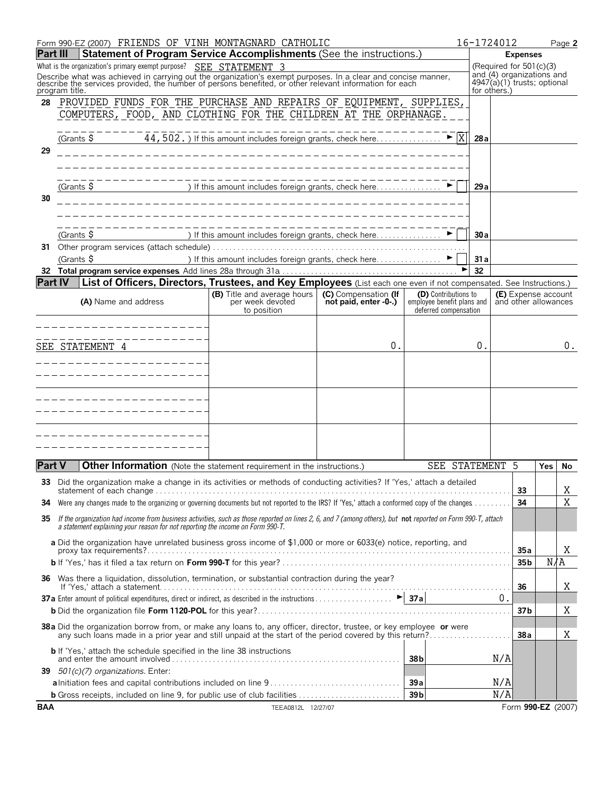| Statement of Program Service Accomplishments (See the instructions.)<br><b>Part III</b><br><b>Expenses</b><br>What is the organization's primary exempt purpose? SEE STATEMENT 3<br>(Required for $501(c)(3)$<br>and (4) organizations and<br>Describe what was achieved in carrying out the organization's exempt purposes. In a clear and concise manner, describe the services provided, the number of persons benefited, or other relevant information for each<br>4947(a)(1) trusts; optional<br>for others.)<br>program title.<br>PROVIDED FUNDS FOR THE PURCHASE AND REPAIRS OF EQUIPMENT, SUPPLIES,<br>28<br>COMPUTERS, FOOD, AND CLOTHING FOR THE CHILDREN AT THE ORPHANAGE.<br>$\blacktriangleright$  X<br>(Grants \$<br>44, 502. ) If this amount includes foreign grants, check here<br>28a<br>29<br>(Grants \$<br>29a<br>30<br>(Grants $\frac{6}{5}$<br>30a<br>31 Other program services (attach schedule).<br>(Grants \$<br>) If this amount includes foreign grants, check here▶<br>31a<br>32<br>List of Officers, Directors, Trustees, and Key Employees (List each one even if not compensated. See Instructions.)<br><b>Part IV</b><br><b>(B)</b> Title and average hours<br>(C) Compensation (If<br>(D) Contributions to<br>(E) Expense account<br>per week devoted<br>not paid, enter -0-.)<br>employee benefit plans and<br>and other allowances<br>(A) Name and address<br>deferred compensation<br>to position<br>0<br>0.<br>SEE STATEMENT 4<br><b>Part V</b><br>Other Information (Note the statement requirement in the instructions.)<br>SEE STATEMENT 5<br><b>Yes</b><br>33 Did the organization make a change in its activities or methods of conducting activities? If 'Yes,' attach a detailed<br>33<br>34<br>34<br>If the organization had income from business activities, such as those reported on lines 2, 6, and 7 (among others), but not reported on Form 990-T, attach<br>35<br>a statement explaining your reason for not reporting the income on Form 990-T.<br>a Did the organization have unrelated business gross income of \$1,000 or more or 6033(e) notice, reporting, and<br>35a<br>N/A<br>35 <sub>b</sub><br>36 Was there a liquidation, dissolution, termination, or substantial contraction during the year?<br>36<br>0.<br>37 <sub>b</sub><br>38 a Did the organization borrow from, or make any loans to, any officer, director, trustee, or key employee or were<br>38a<br><b>b</b> If 'Yes,' attach the schedule specified in the line 38 instructions<br>N/A<br>38 <sub>b</sub><br>39 501(c)(7) organizations. Enter:<br>N/A<br>39a<br>N/A<br>39 <sub>b</sub><br><b>b</b> Gross receipts, included on line 9, for public use of club facilities<br>Form 990-EZ (2007)<br>TEEA0812L 12/27/07 |            | Form 990-EZ (2007) FRIENDS OF VINH MONTAGNARD CATHOLIC |  | 16-1724012 |  | Page 2 |
|-----------------------------------------------------------------------------------------------------------------------------------------------------------------------------------------------------------------------------------------------------------------------------------------------------------------------------------------------------------------------------------------------------------------------------------------------------------------------------------------------------------------------------------------------------------------------------------------------------------------------------------------------------------------------------------------------------------------------------------------------------------------------------------------------------------------------------------------------------------------------------------------------------------------------------------------------------------------------------------------------------------------------------------------------------------------------------------------------------------------------------------------------------------------------------------------------------------------------------------------------------------------------------------------------------------------------------------------------------------------------------------------------------------------------------------------------------------------------------------------------------------------------------------------------------------------------------------------------------------------------------------------------------------------------------------------------------------------------------------------------------------------------------------------------------------------------------------------------------------------------------------------------------------------------------------------------------------------------------------------------------------------------------------------------------------------------------------------------------------------------------------------------------------------------------------------------------------------------------------------------------------------------------------------------------------------------------------------------------------------------------------------------------------------------------------------------------------------------------------------------------------------------------------------------------------------------------------------------------------------------------------------------------------------------------------------------------------------------------------------------------|------------|--------------------------------------------------------|--|------------|--|--------|
|                                                                                                                                                                                                                                                                                                                                                                                                                                                                                                                                                                                                                                                                                                                                                                                                                                                                                                                                                                                                                                                                                                                                                                                                                                                                                                                                                                                                                                                                                                                                                                                                                                                                                                                                                                                                                                                                                                                                                                                                                                                                                                                                                                                                                                                                                                                                                                                                                                                                                                                                                                                                                                                                                                                                                     |            |                                                        |  |            |  |        |
|                                                                                                                                                                                                                                                                                                                                                                                                                                                                                                                                                                                                                                                                                                                                                                                                                                                                                                                                                                                                                                                                                                                                                                                                                                                                                                                                                                                                                                                                                                                                                                                                                                                                                                                                                                                                                                                                                                                                                                                                                                                                                                                                                                                                                                                                                                                                                                                                                                                                                                                                                                                                                                                                                                                                                     |            |                                                        |  |            |  |        |
|                                                                                                                                                                                                                                                                                                                                                                                                                                                                                                                                                                                                                                                                                                                                                                                                                                                                                                                                                                                                                                                                                                                                                                                                                                                                                                                                                                                                                                                                                                                                                                                                                                                                                                                                                                                                                                                                                                                                                                                                                                                                                                                                                                                                                                                                                                                                                                                                                                                                                                                                                                                                                                                                                                                                                     |            |                                                        |  |            |  |        |
|                                                                                                                                                                                                                                                                                                                                                                                                                                                                                                                                                                                                                                                                                                                                                                                                                                                                                                                                                                                                                                                                                                                                                                                                                                                                                                                                                                                                                                                                                                                                                                                                                                                                                                                                                                                                                                                                                                                                                                                                                                                                                                                                                                                                                                                                                                                                                                                                                                                                                                                                                                                                                                                                                                                                                     |            |                                                        |  |            |  |        |
|                                                                                                                                                                                                                                                                                                                                                                                                                                                                                                                                                                                                                                                                                                                                                                                                                                                                                                                                                                                                                                                                                                                                                                                                                                                                                                                                                                                                                                                                                                                                                                                                                                                                                                                                                                                                                                                                                                                                                                                                                                                                                                                                                                                                                                                                                                                                                                                                                                                                                                                                                                                                                                                                                                                                                     |            |                                                        |  |            |  |        |
|                                                                                                                                                                                                                                                                                                                                                                                                                                                                                                                                                                                                                                                                                                                                                                                                                                                                                                                                                                                                                                                                                                                                                                                                                                                                                                                                                                                                                                                                                                                                                                                                                                                                                                                                                                                                                                                                                                                                                                                                                                                                                                                                                                                                                                                                                                                                                                                                                                                                                                                                                                                                                                                                                                                                                     |            |                                                        |  |            |  |        |
|                                                                                                                                                                                                                                                                                                                                                                                                                                                                                                                                                                                                                                                                                                                                                                                                                                                                                                                                                                                                                                                                                                                                                                                                                                                                                                                                                                                                                                                                                                                                                                                                                                                                                                                                                                                                                                                                                                                                                                                                                                                                                                                                                                                                                                                                                                                                                                                                                                                                                                                                                                                                                                                                                                                                                     |            |                                                        |  |            |  |        |
|                                                                                                                                                                                                                                                                                                                                                                                                                                                                                                                                                                                                                                                                                                                                                                                                                                                                                                                                                                                                                                                                                                                                                                                                                                                                                                                                                                                                                                                                                                                                                                                                                                                                                                                                                                                                                                                                                                                                                                                                                                                                                                                                                                                                                                                                                                                                                                                                                                                                                                                                                                                                                                                                                                                                                     |            |                                                        |  |            |  |        |
|                                                                                                                                                                                                                                                                                                                                                                                                                                                                                                                                                                                                                                                                                                                                                                                                                                                                                                                                                                                                                                                                                                                                                                                                                                                                                                                                                                                                                                                                                                                                                                                                                                                                                                                                                                                                                                                                                                                                                                                                                                                                                                                                                                                                                                                                                                                                                                                                                                                                                                                                                                                                                                                                                                                                                     |            |                                                        |  |            |  |        |
|                                                                                                                                                                                                                                                                                                                                                                                                                                                                                                                                                                                                                                                                                                                                                                                                                                                                                                                                                                                                                                                                                                                                                                                                                                                                                                                                                                                                                                                                                                                                                                                                                                                                                                                                                                                                                                                                                                                                                                                                                                                                                                                                                                                                                                                                                                                                                                                                                                                                                                                                                                                                                                                                                                                                                     |            |                                                        |  |            |  |        |
|                                                                                                                                                                                                                                                                                                                                                                                                                                                                                                                                                                                                                                                                                                                                                                                                                                                                                                                                                                                                                                                                                                                                                                                                                                                                                                                                                                                                                                                                                                                                                                                                                                                                                                                                                                                                                                                                                                                                                                                                                                                                                                                                                                                                                                                                                                                                                                                                                                                                                                                                                                                                                                                                                                                                                     |            |                                                        |  |            |  |        |
|                                                                                                                                                                                                                                                                                                                                                                                                                                                                                                                                                                                                                                                                                                                                                                                                                                                                                                                                                                                                                                                                                                                                                                                                                                                                                                                                                                                                                                                                                                                                                                                                                                                                                                                                                                                                                                                                                                                                                                                                                                                                                                                                                                                                                                                                                                                                                                                                                                                                                                                                                                                                                                                                                                                                                     |            |                                                        |  |            |  |        |
|                                                                                                                                                                                                                                                                                                                                                                                                                                                                                                                                                                                                                                                                                                                                                                                                                                                                                                                                                                                                                                                                                                                                                                                                                                                                                                                                                                                                                                                                                                                                                                                                                                                                                                                                                                                                                                                                                                                                                                                                                                                                                                                                                                                                                                                                                                                                                                                                                                                                                                                                                                                                                                                                                                                                                     |            |                                                        |  |            |  |        |
|                                                                                                                                                                                                                                                                                                                                                                                                                                                                                                                                                                                                                                                                                                                                                                                                                                                                                                                                                                                                                                                                                                                                                                                                                                                                                                                                                                                                                                                                                                                                                                                                                                                                                                                                                                                                                                                                                                                                                                                                                                                                                                                                                                                                                                                                                                                                                                                                                                                                                                                                                                                                                                                                                                                                                     |            |                                                        |  |            |  |        |
|                                                                                                                                                                                                                                                                                                                                                                                                                                                                                                                                                                                                                                                                                                                                                                                                                                                                                                                                                                                                                                                                                                                                                                                                                                                                                                                                                                                                                                                                                                                                                                                                                                                                                                                                                                                                                                                                                                                                                                                                                                                                                                                                                                                                                                                                                                                                                                                                                                                                                                                                                                                                                                                                                                                                                     |            |                                                        |  |            |  | 0.     |
|                                                                                                                                                                                                                                                                                                                                                                                                                                                                                                                                                                                                                                                                                                                                                                                                                                                                                                                                                                                                                                                                                                                                                                                                                                                                                                                                                                                                                                                                                                                                                                                                                                                                                                                                                                                                                                                                                                                                                                                                                                                                                                                                                                                                                                                                                                                                                                                                                                                                                                                                                                                                                                                                                                                                                     |            |                                                        |  |            |  |        |
|                                                                                                                                                                                                                                                                                                                                                                                                                                                                                                                                                                                                                                                                                                                                                                                                                                                                                                                                                                                                                                                                                                                                                                                                                                                                                                                                                                                                                                                                                                                                                                                                                                                                                                                                                                                                                                                                                                                                                                                                                                                                                                                                                                                                                                                                                                                                                                                                                                                                                                                                                                                                                                                                                                                                                     |            |                                                        |  |            |  |        |
|                                                                                                                                                                                                                                                                                                                                                                                                                                                                                                                                                                                                                                                                                                                                                                                                                                                                                                                                                                                                                                                                                                                                                                                                                                                                                                                                                                                                                                                                                                                                                                                                                                                                                                                                                                                                                                                                                                                                                                                                                                                                                                                                                                                                                                                                                                                                                                                                                                                                                                                                                                                                                                                                                                                                                     |            |                                                        |  |            |  |        |
|                                                                                                                                                                                                                                                                                                                                                                                                                                                                                                                                                                                                                                                                                                                                                                                                                                                                                                                                                                                                                                                                                                                                                                                                                                                                                                                                                                                                                                                                                                                                                                                                                                                                                                                                                                                                                                                                                                                                                                                                                                                                                                                                                                                                                                                                                                                                                                                                                                                                                                                                                                                                                                                                                                                                                     |            |                                                        |  |            |  |        |
|                                                                                                                                                                                                                                                                                                                                                                                                                                                                                                                                                                                                                                                                                                                                                                                                                                                                                                                                                                                                                                                                                                                                                                                                                                                                                                                                                                                                                                                                                                                                                                                                                                                                                                                                                                                                                                                                                                                                                                                                                                                                                                                                                                                                                                                                                                                                                                                                                                                                                                                                                                                                                                                                                                                                                     |            |                                                        |  |            |  |        |
|                                                                                                                                                                                                                                                                                                                                                                                                                                                                                                                                                                                                                                                                                                                                                                                                                                                                                                                                                                                                                                                                                                                                                                                                                                                                                                                                                                                                                                                                                                                                                                                                                                                                                                                                                                                                                                                                                                                                                                                                                                                                                                                                                                                                                                                                                                                                                                                                                                                                                                                                                                                                                                                                                                                                                     |            |                                                        |  |            |  |        |
|                                                                                                                                                                                                                                                                                                                                                                                                                                                                                                                                                                                                                                                                                                                                                                                                                                                                                                                                                                                                                                                                                                                                                                                                                                                                                                                                                                                                                                                                                                                                                                                                                                                                                                                                                                                                                                                                                                                                                                                                                                                                                                                                                                                                                                                                                                                                                                                                                                                                                                                                                                                                                                                                                                                                                     |            |                                                        |  |            |  | No     |
|                                                                                                                                                                                                                                                                                                                                                                                                                                                                                                                                                                                                                                                                                                                                                                                                                                                                                                                                                                                                                                                                                                                                                                                                                                                                                                                                                                                                                                                                                                                                                                                                                                                                                                                                                                                                                                                                                                                                                                                                                                                                                                                                                                                                                                                                                                                                                                                                                                                                                                                                                                                                                                                                                                                                                     |            |                                                        |  |            |  | X      |
|                                                                                                                                                                                                                                                                                                                                                                                                                                                                                                                                                                                                                                                                                                                                                                                                                                                                                                                                                                                                                                                                                                                                                                                                                                                                                                                                                                                                                                                                                                                                                                                                                                                                                                                                                                                                                                                                                                                                                                                                                                                                                                                                                                                                                                                                                                                                                                                                                                                                                                                                                                                                                                                                                                                                                     |            |                                                        |  |            |  | X      |
|                                                                                                                                                                                                                                                                                                                                                                                                                                                                                                                                                                                                                                                                                                                                                                                                                                                                                                                                                                                                                                                                                                                                                                                                                                                                                                                                                                                                                                                                                                                                                                                                                                                                                                                                                                                                                                                                                                                                                                                                                                                                                                                                                                                                                                                                                                                                                                                                                                                                                                                                                                                                                                                                                                                                                     |            |                                                        |  |            |  |        |
|                                                                                                                                                                                                                                                                                                                                                                                                                                                                                                                                                                                                                                                                                                                                                                                                                                                                                                                                                                                                                                                                                                                                                                                                                                                                                                                                                                                                                                                                                                                                                                                                                                                                                                                                                                                                                                                                                                                                                                                                                                                                                                                                                                                                                                                                                                                                                                                                                                                                                                                                                                                                                                                                                                                                                     |            |                                                        |  |            |  |        |
|                                                                                                                                                                                                                                                                                                                                                                                                                                                                                                                                                                                                                                                                                                                                                                                                                                                                                                                                                                                                                                                                                                                                                                                                                                                                                                                                                                                                                                                                                                                                                                                                                                                                                                                                                                                                                                                                                                                                                                                                                                                                                                                                                                                                                                                                                                                                                                                                                                                                                                                                                                                                                                                                                                                                                     |            |                                                        |  |            |  | Χ      |
|                                                                                                                                                                                                                                                                                                                                                                                                                                                                                                                                                                                                                                                                                                                                                                                                                                                                                                                                                                                                                                                                                                                                                                                                                                                                                                                                                                                                                                                                                                                                                                                                                                                                                                                                                                                                                                                                                                                                                                                                                                                                                                                                                                                                                                                                                                                                                                                                                                                                                                                                                                                                                                                                                                                                                     |            |                                                        |  |            |  | Χ      |
|                                                                                                                                                                                                                                                                                                                                                                                                                                                                                                                                                                                                                                                                                                                                                                                                                                                                                                                                                                                                                                                                                                                                                                                                                                                                                                                                                                                                                                                                                                                                                                                                                                                                                                                                                                                                                                                                                                                                                                                                                                                                                                                                                                                                                                                                                                                                                                                                                                                                                                                                                                                                                                                                                                                                                     |            |                                                        |  |            |  |        |
|                                                                                                                                                                                                                                                                                                                                                                                                                                                                                                                                                                                                                                                                                                                                                                                                                                                                                                                                                                                                                                                                                                                                                                                                                                                                                                                                                                                                                                                                                                                                                                                                                                                                                                                                                                                                                                                                                                                                                                                                                                                                                                                                                                                                                                                                                                                                                                                                                                                                                                                                                                                                                                                                                                                                                     |            |                                                        |  |            |  | Χ      |
|                                                                                                                                                                                                                                                                                                                                                                                                                                                                                                                                                                                                                                                                                                                                                                                                                                                                                                                                                                                                                                                                                                                                                                                                                                                                                                                                                                                                                                                                                                                                                                                                                                                                                                                                                                                                                                                                                                                                                                                                                                                                                                                                                                                                                                                                                                                                                                                                                                                                                                                                                                                                                                                                                                                                                     |            |                                                        |  |            |  | Χ      |
|                                                                                                                                                                                                                                                                                                                                                                                                                                                                                                                                                                                                                                                                                                                                                                                                                                                                                                                                                                                                                                                                                                                                                                                                                                                                                                                                                                                                                                                                                                                                                                                                                                                                                                                                                                                                                                                                                                                                                                                                                                                                                                                                                                                                                                                                                                                                                                                                                                                                                                                                                                                                                                                                                                                                                     |            |                                                        |  |            |  |        |
|                                                                                                                                                                                                                                                                                                                                                                                                                                                                                                                                                                                                                                                                                                                                                                                                                                                                                                                                                                                                                                                                                                                                                                                                                                                                                                                                                                                                                                                                                                                                                                                                                                                                                                                                                                                                                                                                                                                                                                                                                                                                                                                                                                                                                                                                                                                                                                                                                                                                                                                                                                                                                                                                                                                                                     |            |                                                        |  |            |  |        |
|                                                                                                                                                                                                                                                                                                                                                                                                                                                                                                                                                                                                                                                                                                                                                                                                                                                                                                                                                                                                                                                                                                                                                                                                                                                                                                                                                                                                                                                                                                                                                                                                                                                                                                                                                                                                                                                                                                                                                                                                                                                                                                                                                                                                                                                                                                                                                                                                                                                                                                                                                                                                                                                                                                                                                     |            |                                                        |  |            |  |        |
|                                                                                                                                                                                                                                                                                                                                                                                                                                                                                                                                                                                                                                                                                                                                                                                                                                                                                                                                                                                                                                                                                                                                                                                                                                                                                                                                                                                                                                                                                                                                                                                                                                                                                                                                                                                                                                                                                                                                                                                                                                                                                                                                                                                                                                                                                                                                                                                                                                                                                                                                                                                                                                                                                                                                                     | <b>BAA</b> |                                                        |  |            |  |        |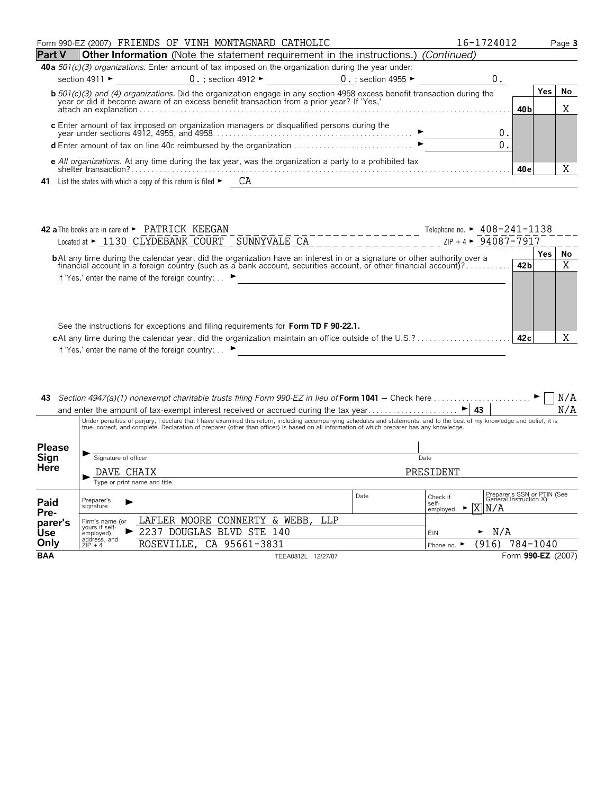|         | Form 990-EZ (2007) FRIENDS OF VINH MONTAGNARD CATHOLIC                                                                                                                                                                    |                     |  |                                           | 16-1724012 |      |  | Page 3 |
|---------|---------------------------------------------------------------------------------------------------------------------------------------------------------------------------------------------------------------------------|---------------------|--|-------------------------------------------|------------|------|--|--------|
| lPart V | <b>Other Information</b> (Note the statement requirement in the instructions.) (Continued)                                                                                                                                |                     |  |                                           |            |      |  |        |
|         | <b>40 a</b> $501(c)(3)$ organizations. Enter amount of tax imposed on the organization during the year under:                                                                                                             |                     |  |                                           |            |      |  |        |
|         | section 4911 $\blacktriangleright$                                                                                                                                                                                        | $0.$ ; section 4912 |  | $0.$ ; section 4955 $\blacktriangleright$ |            |      |  |        |
|         | <b>b</b> 501(c)(3) and (4) organizations. Did the organization engage in any section 4958 excess benefit transaction during the year or did it become aware of an excess benefit transaction from a prior year? If 'Yes,' |                     |  |                                           |            |      |  | No     |
|         |                                                                                                                                                                                                                           |                     |  |                                           |            | 40 b |  | Λ      |
|         |                                                                                                                                                                                                                           |                     |  |                                           | O          |      |  |        |
|         |                                                                                                                                                                                                                           |                     |  |                                           |            |      |  |        |
|         | <b>e</b> All organizations. At any time during the tax year, was the organization a party to a prohibited tax                                                                                                             |                     |  |                                           |            |      |  |        |
|         | shelter transaction?                                                                                                                                                                                                      |                     |  |                                           |            | 40 e |  |        |
| 41      | List the states with which a copy of this return is filed $\blacktriangleright$                                                                                                                                           | CА                  |  |                                           |            |      |  |        |

| <b>42 a</b> The books are in care of $\blacktriangleright$ PATRICK KEEGAN                                                        | Telephone no. $\blacktriangleright$ 408-241-1138 |      |     |    |
|----------------------------------------------------------------------------------------------------------------------------------|--------------------------------------------------|------|-----|----|
| Located at $\blacktriangleright$ 1130 CLYDEBANK COURT<br>SUNNYVALE CA                                                            | $ZIP + 4$ $\triangleright$ 94087-7917            |      |     |    |
| <b>b</b> At any time during the calendar year, did the organization have an interest in or a signature or other authority over a |                                                  |      | Yes | No |
| financial account in a foreign country (such as a bank account, securities account, or other financial account)?                 |                                                  | 42 b |     | ٦z |
| If 'Yes,' enter the name of the foreign country                                                                                  |                                                  |      |     |    |
|                                                                                                                                  |                                                  |      |     |    |
|                                                                                                                                  |                                                  |      |     |    |
|                                                                                                                                  |                                                  |      |     |    |
| See the instructions for exceptions and filing requirements for Form TD F 90-22.1.                                               |                                                  |      |     |    |
|                                                                                                                                  |                                                  | 42c  |     |    |
| If 'Yes,' enter the name of the foreign country:                                                                                 |                                                  |      |     |    |

| 43              |                                                                                                                                            | Section 4947(a)(1) nonexempt charitable trusts filing Form 990-EZ in lieu of Form 1041 – Check here $\dots \dots$                                                          |           |                                                         | N/A                                                   |  |  |
|-----------------|--------------------------------------------------------------------------------------------------------------------------------------------|----------------------------------------------------------------------------------------------------------------------------------------------------------------------------|-----------|---------------------------------------------------------|-------------------------------------------------------|--|--|
|                 |                                                                                                                                            | and enter the amount of tax-exempt interest received or accrued during the tax year                                                                                        |           | 43<br>▶                                                 | N/A                                                   |  |  |
|                 | true, correct, and complete. Declaration of preparer (other than officer) is based on all information of which preparer has any knowledge. | Under penalties of perjury, I declare that I have examined this return, including accompanying schedules and statements, and to the best of my knowledge and belief, it is |           |                                                         |                                                       |  |  |
| <b>Please</b>   |                                                                                                                                            |                                                                                                                                                                            |           |                                                         |                                                       |  |  |
| Sign            | Signature of officer                                                                                                                       |                                                                                                                                                                            | Date      |                                                         |                                                       |  |  |
| <b>Here</b>     | DAVE CHAIX                                                                                                                                 |                                                                                                                                                                            |           | PRESIDENT                                               |                                                       |  |  |
|                 |                                                                                                                                            | Type or print name and title.                                                                                                                                              |           |                                                         |                                                       |  |  |
| Paid            | Preparer's<br>signature                                                                                                                    |                                                                                                                                                                            | Date      | Check if<br>self-<br>$\triangleright$ X N/A<br>employed | Preparer's SSN or PTIN (See<br>General Instruction X) |  |  |
| Pre-<br>parer's | Firm's name (or                                                                                                                            | LAFLER MOORE CONNERTY<br>&.                                                                                                                                                | WEBB, LLP |                                                         |                                                       |  |  |
| <b>Use</b>      | yours if self-<br>employed),                                                                                                               | 2237<br>DOUGLAS BLVD STE<br>140                                                                                                                                            |           | ►<br><b>EIN</b>                                         | N/A                                                   |  |  |
| Only            | address, and<br>$ZIP + 4$                                                                                                                  | ROSEVILLE, CA 95661-3831                                                                                                                                                   |           | Phone no. $\blacktriangleright$                         | (916)<br>784-1040                                     |  |  |
| <b>BAA</b>      |                                                                                                                                            | TEEA0812L 12/27/07                                                                                                                                                         |           |                                                         | Form 990-EZ (2007)                                    |  |  |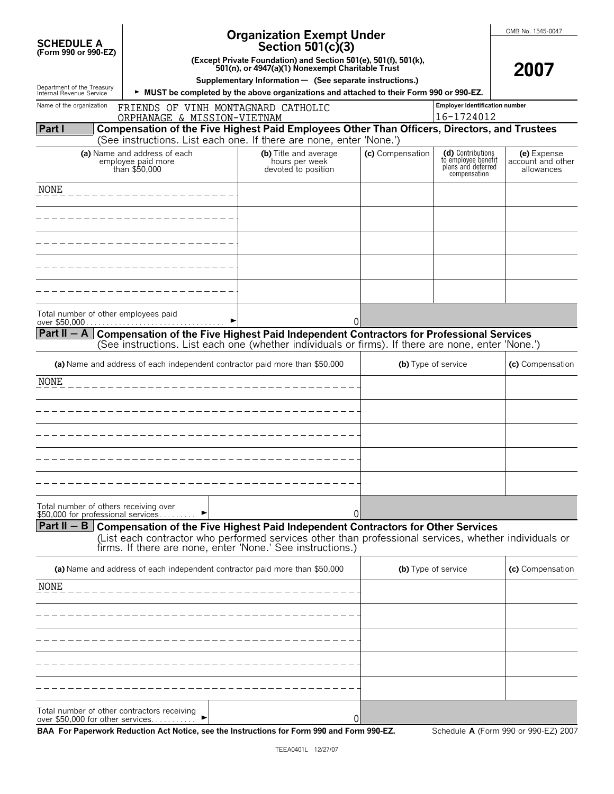|                                                        |                                                                                 | <b>Organization Exempt Under</b>                                                                                                                                                              |                     |                                                                                | OMB No. 1545-0047                              |
|--------------------------------------------------------|---------------------------------------------------------------------------------|-----------------------------------------------------------------------------------------------------------------------------------------------------------------------------------------------|---------------------|--------------------------------------------------------------------------------|------------------------------------------------|
| <b>SCHEDULE A</b><br>(Form 990 or 990-EZ)              |                                                                                 | Section 501(c)(3)                                                                                                                                                                             |                     |                                                                                |                                                |
|                                                        |                                                                                 | (Except Private Foundation) and Section 501(e), 501(f), 501(k),<br>501(n), or 4947(a)(1) Nonexempt Charitable Trust                                                                           |                     |                                                                                | 2007                                           |
|                                                        |                                                                                 | Supplementary Information - (See separate instructions.)                                                                                                                                      |                     |                                                                                |                                                |
| Department of the Treasury<br>Internal Revenue Service |                                                                                 | MUST be completed by the above organizations and attached to their Form 990 or 990-EZ.                                                                                                        |                     |                                                                                |                                                |
| Name of the organization                               | FRIENDS OF VINH MONTAGNARD CATHOLIC<br>ORPHANAGE & MISSION-VIETNAM              |                                                                                                                                                                                               |                     | <b>Employer identification number</b><br>16-1724012                            |                                                |
| Part I                                                 |                                                                                 | Compensation of the Five Highest Paid Employees Other Than Officers, Directors, and Trustees                                                                                                  |                     |                                                                                |                                                |
|                                                        |                                                                                 | (See instructions. List each one. If there are none, enter 'None.')                                                                                                                           |                     |                                                                                |                                                |
|                                                        | (a) Name and address of each<br>employee paid more<br>than \$50,000             | (b) Title and average<br>hours per week<br>devoted to position                                                                                                                                | (c) Compensation    | (d) Contributions<br>to employee benefit<br>plans and deferred<br>compensation | (e) Expense<br>account and other<br>allowances |
| NONE                                                   |                                                                                 |                                                                                                                                                                                               |                     |                                                                                |                                                |
|                                                        |                                                                                 |                                                                                                                                                                                               |                     |                                                                                |                                                |
|                                                        |                                                                                 |                                                                                                                                                                                               |                     |                                                                                |                                                |
|                                                        |                                                                                 |                                                                                                                                                                                               |                     |                                                                                |                                                |
|                                                        |                                                                                 |                                                                                                                                                                                               |                     |                                                                                |                                                |
|                                                        |                                                                                 |                                                                                                                                                                                               |                     |                                                                                |                                                |
|                                                        |                                                                                 |                                                                                                                                                                                               |                     |                                                                                |                                                |
|                                                        |                                                                                 |                                                                                                                                                                                               |                     |                                                                                |                                                |
|                                                        | Total number of other employees paid<br>over \$50,000                           | 0                                                                                                                                                                                             |                     |                                                                                |                                                |
| Part II $-$ A                                          |                                                                                 | Compensation of the Five Highest Paid Independent Contractors for Professional Services<br>(See instructions. List each one (whether individuals or firms). If there are none, enter 'None.') |                     |                                                                                |                                                |
|                                                        | (a) Name and address of each independent contractor paid more than \$50,000     |                                                                                                                                                                                               |                     | (b) Type of service                                                            | (c) Compensation                               |
| NONE                                                   |                                                                                 |                                                                                                                                                                                               |                     |                                                                                |                                                |
|                                                        |                                                                                 |                                                                                                                                                                                               |                     |                                                                                |                                                |
|                                                        |                                                                                 |                                                                                                                                                                                               |                     |                                                                                |                                                |
|                                                        |                                                                                 |                                                                                                                                                                                               |                     |                                                                                |                                                |
|                                                        |                                                                                 |                                                                                                                                                                                               |                     |                                                                                |                                                |
|                                                        |                                                                                 |                                                                                                                                                                                               |                     |                                                                                |                                                |
|                                                        |                                                                                 |                                                                                                                                                                                               |                     |                                                                                |                                                |
|                                                        |                                                                                 |                                                                                                                                                                                               |                     |                                                                                |                                                |
|                                                        | Total number of others receiving over<br>\$50,000 for professional services     | 0                                                                                                                                                                                             |                     |                                                                                |                                                |
|                                                        |                                                                                 | Part II $-$ B Compensation of the Five Highest Paid Independent Contractors for Other Services                                                                                                |                     |                                                                                |                                                |
|                                                        |                                                                                 | (List each contractor who performed services other than professional services, whether individuals or<br>firms. If there are none, enter 'None.' See instructions.)                           |                     |                                                                                |                                                |
|                                                        | (a) Name and address of each independent contractor paid more than \$50,000     |                                                                                                                                                                                               | (b) Type of service |                                                                                | (c) Compensation                               |
| NONE                                                   |                                                                                 |                                                                                                                                                                                               |                     |                                                                                |                                                |
|                                                        |                                                                                 |                                                                                                                                                                                               |                     |                                                                                |                                                |
|                                                        |                                                                                 |                                                                                                                                                                                               |                     |                                                                                |                                                |
|                                                        |                                                                                 |                                                                                                                                                                                               |                     |                                                                                |                                                |
|                                                        |                                                                                 |                                                                                                                                                                                               |                     |                                                                                |                                                |
|                                                        |                                                                                 |                                                                                                                                                                                               |                     |                                                                                |                                                |
|                                                        |                                                                                 |                                                                                                                                                                                               |                     |                                                                                |                                                |
|                                                        |                                                                                 |                                                                                                                                                                                               |                     |                                                                                |                                                |
|                                                        | Total number of other contractors receiving<br>over \$50,000 for other services | 0                                                                                                                                                                                             |                     |                                                                                |                                                |

**BAA For Paperwork Reduction Act Notice, see the Instructions for Form 990 and Form 990-EZ.** Schedule **A** (Form 990 or 990-EZ) 2007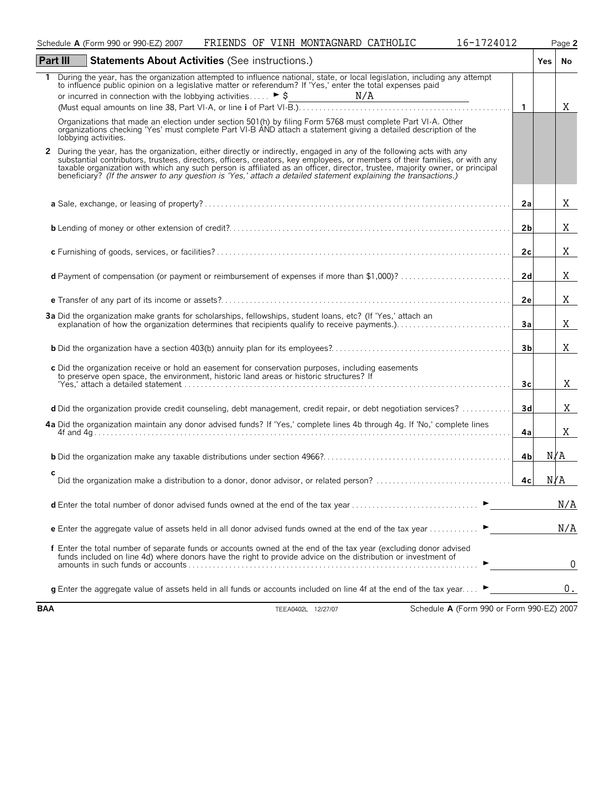|            | FRIENDS OF VINH MONTAGNARD CATHOLIC<br>16-1724012<br>Schedule A (Form 990 or 990-EZ) 2007                                                                                                                                                                                                                                                                                                                                                                                                             |                | Page 2 |
|------------|-------------------------------------------------------------------------------------------------------------------------------------------------------------------------------------------------------------------------------------------------------------------------------------------------------------------------------------------------------------------------------------------------------------------------------------------------------------------------------------------------------|----------------|--------|
|            | Part III<br><b>Statements About Activities (See instructions.)</b>                                                                                                                                                                                                                                                                                                                                                                                                                                    |                | Yes No |
| 1.         | During the year, has the organization attempted to influence national, state, or local legislation, including any attempt<br>to influence public opinion on a legislative matter or referendum? If 'Yes,' enter the total expenses paid                                                                                                                                                                                                                                                               |                |        |
|            |                                                                                                                                                                                                                                                                                                                                                                                                                                                                                                       | $\overline{1}$ | Χ      |
|            | Organizations that made an election under section 501(h) by filing Form 5768 must complete Part VI-A. Other<br>organizations checking 'Yes' must complete Part VI-B AND attach a statement giving a detailed description of the<br>lobbying activities.                                                                                                                                                                                                                                               |                |        |
| 2          | During the year, has the organization, either directly or indirectly, engaged in any of the following acts with any<br>substantial contributors, trustees, directors, officers, creators, key employees, or members of their families, or with any<br>taxable organization with which any such person is affiliated as an officer, director, trustee, majority owner, or principal<br>beneficiary? (If the answer to any question is 'Yes,' attach a detailed statement explaining the transactions.) |                |        |
|            |                                                                                                                                                                                                                                                                                                                                                                                                                                                                                                       | 2a             | Χ      |
|            |                                                                                                                                                                                                                                                                                                                                                                                                                                                                                                       | 2 <sub>b</sub> | Χ      |
|            |                                                                                                                                                                                                                                                                                                                                                                                                                                                                                                       | 2 <sub>c</sub> | Χ      |
|            | d Payment of compensation (or payment or reimbursement of expenses if more than \$1,000)?                                                                                                                                                                                                                                                                                                                                                                                                             | 2d             | Χ      |
|            |                                                                                                                                                                                                                                                                                                                                                                                                                                                                                                       | 2e             | Χ      |
|            | 3a Did the organization make grants for scholarships, fellowships, student loans, etc? (If 'Yes,' attach an<br>explanation of how the organization determines that recipients qualify to receive payments.)                                                                                                                                                                                                                                                                                           | 3a             | X      |
|            |                                                                                                                                                                                                                                                                                                                                                                                                                                                                                                       | 3 <sub>b</sub> | X      |
|            | c Did the organization receive or hold an easement for conservation purposes, including easements<br>to preserve open space, the environment, historic land areas or historic structures? If                                                                                                                                                                                                                                                                                                          | 3 <sub>c</sub> | Χ      |
|            | d Did the organization provide credit counseling, debt management, credit repair, or debt negotiation services?                                                                                                                                                                                                                                                                                                                                                                                       | 3d             | Χ      |
|            | 4a Did the organization maintain any donor advised funds? If 'Yes,' complete lines 4b through 4g. If 'No,' complete lines                                                                                                                                                                                                                                                                                                                                                                             | 4a             | X      |
|            |                                                                                                                                                                                                                                                                                                                                                                                                                                                                                                       | 4bl            | N/A    |
|            | с                                                                                                                                                                                                                                                                                                                                                                                                                                                                                                     | 4c             | N/A    |
|            | <b>d</b> Enter the total number of donor advised funds owned at the end of the tax year                                                                                                                                                                                                                                                                                                                                                                                                               |                | N/A    |
|            | <b>e</b> Enter the aggregate value of assets held in all donor advised funds owned at the end of the tax year $\ldots$                                                                                                                                                                                                                                                                                                                                                                                |                | N/A    |
|            | f Enter the total number of separate funds or accounts owned at the end of the tax year (excluding donor advised<br>funds included on line 4d) where donors have the right to provide advice on the distribution or investment of                                                                                                                                                                                                                                                                     |                | 0      |
|            | <b>g</b> Enter the aggregate value of assets held in all funds or accounts included on line 4f at the end of the tax year                                                                                                                                                                                                                                                                                                                                                                             |                | 0.     |
| <b>BAA</b> | Schedule A (Form 990 or Form 990-EZ) 2007<br>TEEA0402L 12/27/07                                                                                                                                                                                                                                                                                                                                                                                                                                       |                |        |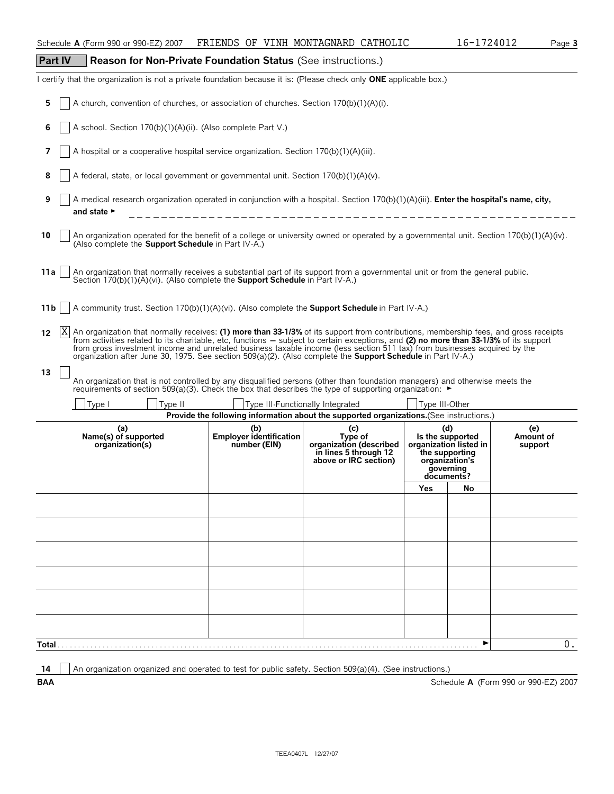| <b>Part IV</b><br>Reason for Non-Private Foundation Status (See instructions.)                                                                                                                                                                                                                                                                                                                                                                                                                                                               |                                                                                                                                                                                                                                       |                                                                                                                             |                                                                                                                         |    |                                      |  |  |  |  |
|----------------------------------------------------------------------------------------------------------------------------------------------------------------------------------------------------------------------------------------------------------------------------------------------------------------------------------------------------------------------------------------------------------------------------------------------------------------------------------------------------------------------------------------------|---------------------------------------------------------------------------------------------------------------------------------------------------------------------------------------------------------------------------------------|-----------------------------------------------------------------------------------------------------------------------------|-------------------------------------------------------------------------------------------------------------------------|----|--------------------------------------|--|--|--|--|
| I certify that the organization is not a private foundation because it is: (Please check only ONE applicable box.)                                                                                                                                                                                                                                                                                                                                                                                                                           |                                                                                                                                                                                                                                       |                                                                                                                             |                                                                                                                         |    |                                      |  |  |  |  |
| A church, convention of churches, or association of churches. Section 170(b)(1)(A)(i).<br>5                                                                                                                                                                                                                                                                                                                                                                                                                                                  |                                                                                                                                                                                                                                       |                                                                                                                             |                                                                                                                         |    |                                      |  |  |  |  |
| A school. Section 170(b)(1)(A)(ii). (Also complete Part V.)<br>6                                                                                                                                                                                                                                                                                                                                                                                                                                                                             |                                                                                                                                                                                                                                       |                                                                                                                             |                                                                                                                         |    |                                      |  |  |  |  |
| A hospital or a cooperative hospital service organization. Section 170(b)(1)(A)(iii).<br>7                                                                                                                                                                                                                                                                                                                                                                                                                                                   |                                                                                                                                                                                                                                       |                                                                                                                             |                                                                                                                         |    |                                      |  |  |  |  |
| A federal, state, or local government or governmental unit. Section 170(b)(1)(A)(v).<br>8                                                                                                                                                                                                                                                                                                                                                                                                                                                    |                                                                                                                                                                                                                                       |                                                                                                                             |                                                                                                                         |    |                                      |  |  |  |  |
| 9<br>A medical research organization operated in conjunction with a hospital. Section 170(b)(1)(A)(iii). Enter the hospital's name, city,<br>and state $\blacktriangleright$                                                                                                                                                                                                                                                                                                                                                                 |                                                                                                                                                                                                                                       |                                                                                                                             |                                                                                                                         |    |                                      |  |  |  |  |
| An organization operated for the benefit of a college or university owned or operated by a governmental unit. Section 170(b)(1)(A)(iv).<br>10<br>(Also complete the Support Schedule in Part IV-A.)                                                                                                                                                                                                                                                                                                                                          |                                                                                                                                                                                                                                       |                                                                                                                             |                                                                                                                         |    |                                      |  |  |  |  |
| 11 a<br>An organization that normally receives a substantial part of its support from a governmental unit or from the general public.<br>Section 170(b)(1)(A)(vi). (Also complete the <b>Support Schedule</b> in Part IV-A.)                                                                                                                                                                                                                                                                                                                 |                                                                                                                                                                                                                                       |                                                                                                                             |                                                                                                                         |    |                                      |  |  |  |  |
| A community trust. Section 170(b)(1)(A)(vi). (Also complete the <b>Support Schedule</b> in Part IV-A.)<br>11 b                                                                                                                                                                                                                                                                                                                                                                                                                               |                                                                                                                                                                                                                                       |                                                                                                                             |                                                                                                                         |    |                                      |  |  |  |  |
| X <br>An organization that normally receives: (1) more than 33-1/3% of its support from contributions, membership fees, and gross receipts<br>12<br>from activities related to its charitable, etc, functions – subject to certain exceptions, and (2) no more than 33-1/3% of its support<br>from gross investment income and unrelated business taxable income (less section 511 tax) from businesses acquired by the<br>organization after June 30, 1975. See section 509(a)(2). (Also complete the Support Schedule in Part IV-A.)<br>13 |                                                                                                                                                                                                                                       |                                                                                                                             |                                                                                                                         |    |                                      |  |  |  |  |
|                                                                                                                                                                                                                                                                                                                                                                                                                                                                                                                                              | An organization that is not controlled by any disqualified persons (other than foundation managers) and otherwise meets the<br>requirements of section 509(a)(3). Check the box that describes the type of supporting organization: ► |                                                                                                                             |                                                                                                                         |    |                                      |  |  |  |  |
| Type I<br>Type II                                                                                                                                                                                                                                                                                                                                                                                                                                                                                                                            |                                                                                                                                                                                                                                       | Type III-Functionally Integrated<br>Provide the following information about the supported organizations.(See instructions.) | Type III-Other                                                                                                          |    |                                      |  |  |  |  |
| (a)<br>Name(s) of supported<br>organization(s)                                                                                                                                                                                                                                                                                                                                                                                                                                                                                               | (b)<br>Employer identification<br>number (EIN)                                                                                                                                                                                        | (c)<br>Type of<br>organization (described<br>in lines 5 through 12<br>above or IRC section)                                 | (d)<br>Is the supported<br>organization listed in<br>the supporting<br>organization's<br>governing<br>documents?<br>Yes | No | (e)<br>Amount of<br>support          |  |  |  |  |
|                                                                                                                                                                                                                                                                                                                                                                                                                                                                                                                                              |                                                                                                                                                                                                                                       |                                                                                                                             |                                                                                                                         |    |                                      |  |  |  |  |
|                                                                                                                                                                                                                                                                                                                                                                                                                                                                                                                                              |                                                                                                                                                                                                                                       |                                                                                                                             |                                                                                                                         |    |                                      |  |  |  |  |
|                                                                                                                                                                                                                                                                                                                                                                                                                                                                                                                                              |                                                                                                                                                                                                                                       |                                                                                                                             |                                                                                                                         |    |                                      |  |  |  |  |
|                                                                                                                                                                                                                                                                                                                                                                                                                                                                                                                                              |                                                                                                                                                                                                                                       |                                                                                                                             |                                                                                                                         |    |                                      |  |  |  |  |
|                                                                                                                                                                                                                                                                                                                                                                                                                                                                                                                                              |                                                                                                                                                                                                                                       |                                                                                                                             |                                                                                                                         |    |                                      |  |  |  |  |
|                                                                                                                                                                                                                                                                                                                                                                                                                                                                                                                                              |                                                                                                                                                                                                                                       |                                                                                                                             |                                                                                                                         |    |                                      |  |  |  |  |
| Total                                                                                                                                                                                                                                                                                                                                                                                                                                                                                                                                        |                                                                                                                                                                                                                                       |                                                                                                                             |                                                                                                                         | ▶  | 0.                                   |  |  |  |  |
|                                                                                                                                                                                                                                                                                                                                                                                                                                                                                                                                              |                                                                                                                                                                                                                                       |                                                                                                                             |                                                                                                                         |    |                                      |  |  |  |  |
| An organization organized and operated to test for public safety. Section 509(a)(4). (See instructions.)<br>14<br><b>BAA</b>                                                                                                                                                                                                                                                                                                                                                                                                                 |                                                                                                                                                                                                                                       |                                                                                                                             |                                                                                                                         |    | Schedule A (Form 990 or 990-EZ) 2007 |  |  |  |  |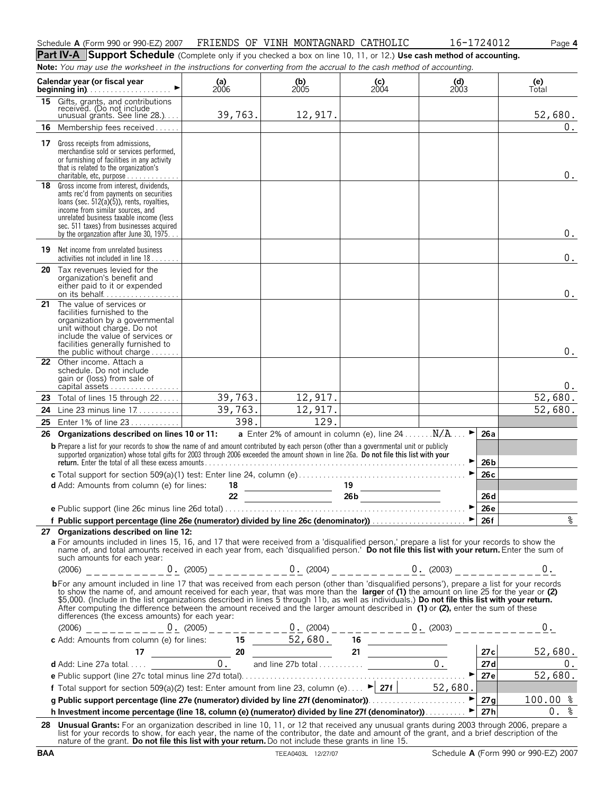| Schedule A (Form 990 or 990-EZ) 2007 | FRIENDS | OF VINH MONTAGNARD CATHOLIC | 724012 | Page 4 |
|--------------------------------------|---------|-----------------------------|--------|--------|
|                                      |         |                             |        |        |

**Part IV-A** Support Schedule (Complete only if you checked a box on line 10, 11, or 12.) Use cash method of accounting. **Note:** *You may use the worksheet in the instructions for converting from the accrual to the cash method of accounting.*

|    | Calendar year (or fiscal year<br>beginning in). $\ldots$ . $\ldots$ . $\ldots$ . $\ldots$ .                                                                                                                                                                                                                                                                                                                                                                                                                                                                                                                                    | (a)<br>$2006$ | $\binom{b}{2005}$                                         | $\begin{array}{c} \textbf{(c)} \\ 2004 \end{array}$ | (d)<br>2003 |                 | (e)<br>Total |
|----|--------------------------------------------------------------------------------------------------------------------------------------------------------------------------------------------------------------------------------------------------------------------------------------------------------------------------------------------------------------------------------------------------------------------------------------------------------------------------------------------------------------------------------------------------------------------------------------------------------------------------------|---------------|-----------------------------------------------------------|-----------------------------------------------------|-------------|-----------------|--------------|
| 15 | Gifts, grants, and contributions<br>received. (Do not include<br>unusual grants. See line 28.)                                                                                                                                                                                                                                                                                                                                                                                                                                                                                                                                 | 39,763.       | 12,917.                                                   |                                                     |             |                 | 52,680.      |
| 16 | Membership fees received                                                                                                                                                                                                                                                                                                                                                                                                                                                                                                                                                                                                       |               |                                                           |                                                     |             |                 | 0.           |
|    | <b>17</b> Gross receipts from admissions.<br>merchandise sold or services performed,<br>or furnishing of facilities in any activity<br>that is related to the organization's<br>charitable, etc, purpose $\ldots \ldots \ldots \ldots$                                                                                                                                                                                                                                                                                                                                                                                         |               |                                                           |                                                     |             |                 | $0$ .        |
|    | 18 Gross income from interest, dividends,<br>amts rec'd from payments on securities<br>loans (sec. 512(a)(5)), rents, royalties,<br>income from similar sources, and<br>unrelated business taxable income (less<br>sec. 511 taxes) from businesses acquired<br>by the organization after June 30, 1975                                                                                                                                                                                                                                                                                                                         |               |                                                           |                                                     |             |                 | $0$ .        |
|    | <b>19</b> Net income from unrelated business<br>activities not included in line 18.                                                                                                                                                                                                                                                                                                                                                                                                                                                                                                                                            |               |                                                           |                                                     |             |                 | $0$ .        |
|    | 20 Tax revenues levied for the<br>organization's benefit and<br>either paid to it or expended<br>on its behalf                                                                                                                                                                                                                                                                                                                                                                                                                                                                                                                 |               |                                                           |                                                     |             |                 | $0$ .        |
| 21 | The value of services or<br>facilities furnished to the<br>organization by a governmental<br>unit without charge. Do not<br>include the value of services or<br>facilities generally furnished to<br>the public without charge $\dots\dots$                                                                                                                                                                                                                                                                                                                                                                                    |               |                                                           |                                                     |             |                 | 0.           |
|    | 22 Other income. Attach a<br>schedule. Do not include<br>gain or (loss) from sale of<br>capital assets                                                                                                                                                                                                                                                                                                                                                                                                                                                                                                                         |               |                                                           |                                                     |             |                 | 0.           |
| 23 | Total of lines 15 through 22                                                                                                                                                                                                                                                                                                                                                                                                                                                                                                                                                                                                   | 39,763.       | 12,917.                                                   |                                                     |             |                 | 52,680.      |
| 24 | Line 23 minus line $17 \ldots \ldots$                                                                                                                                                                                                                                                                                                                                                                                                                                                                                                                                                                                          | 39,763.       | 12,917.                                                   |                                                     |             |                 | 52,680.      |
| 25 | Enter 1% of line 23                                                                                                                                                                                                                                                                                                                                                                                                                                                                                                                                                                                                            | 398.          | 129.                                                      |                                                     | ►           |                 |              |
| 26 | Organizations described on lines 10 or 11:<br><b>b</b> Prepare a list for your records to show the name of and amount contributed by each person (other than a governmental unit or publicly                                                                                                                                                                                                                                                                                                                                                                                                                                   |               | <b>a</b> Enter 2% of amount in column (e), line $24$ N/A. |                                                     |             | 26a             |              |
|    | supported organization) whose total gifts for 2003 through 2006 exceeded the amount shown in line 26a. Do not file this list with your<br>return. Enter the total of all these excess amounts.                                                                                                                                                                                                                                                                                                                                                                                                                                 |               |                                                           |                                                     |             | 26 <sub>b</sub> |              |
|    |                                                                                                                                                                                                                                                                                                                                                                                                                                                                                                                                                                                                                                |               |                                                           |                                                     |             | 26c             |              |
|    | <b>d</b> Add: Amounts from column (e) for lines:                                                                                                                                                                                                                                                                                                                                                                                                                                                                                                                                                                               | 18<br>22      | $\frac{19}{26b}$                                          | 19                                                  |             | 26d             |              |
|    |                                                                                                                                                                                                                                                                                                                                                                                                                                                                                                                                                                                                                                |               |                                                           |                                                     |             | 26e             |              |
|    | f Public support percentage (line 26e (numerator) divided by line 26c (denominator)) $\ldots$ $\ldots$ $\ldots$ $\ldots$ $\downarrow$ 26f                                                                                                                                                                                                                                                                                                                                                                                                                                                                                      |               |                                                           |                                                     |             |                 | Ò,           |
|    | 27 Organizations described on line 12:                                                                                                                                                                                                                                                                                                                                                                                                                                                                                                                                                                                         |               |                                                           |                                                     |             |                 |              |
|    | a For amounts included in lines 15, 16, and 17 that were received from a 'disqualified person,' prepare a list for your records to show the<br>name of, and total amounts received in each year from, each 'disqualified person.' Do not file this list with your return. Enter the sum of<br>such amounts for each year:                                                                                                                                                                                                                                                                                                      |               |                                                           |                                                     |             |                 |              |
|    | $(2006)$ ___________0. $(2005)$ _ _ _ _ _ _ _ 0. $(2004)$ _ _ _ _ _ _ _ _ _ 0. $(2003)$ _ _ _ _ _ _ _ _ _ 0.                                                                                                                                                                                                                                                                                                                                                                                                                                                                                                                   |               |                                                           |                                                     |             |                 |              |
|    | bFor any amount included in line 17 that was received from each person (other than 'disqualified persons'), prepare a list for your records<br>to show the name of, and amount received for each year, that was more than the larger of (1) the amount on line 25 for the year or (2)<br>\$5,000. (Include in the list organizations described in lines 5 through 11b, as well as individuals.) Do not file this list with your return.<br>After computing the difference between the amount received and the larger amount described in (1) or (2), enter the sum of these<br>differences (the excess amounts) for each year: |               |                                                           |                                                     |             |                 |              |
|    |                                                                                                                                                                                                                                                                                                                                                                                                                                                                                                                                                                                                                                |               |                                                           |                                                     |             |                 |              |
|    |                                                                                                                                                                                                                                                                                                                                                                                                                                                                                                                                                                                                                                |               |                                                           |                                                     |             |                 |              |
|    |                                                                                                                                                                                                                                                                                                                                                                                                                                                                                                                                                                                                                                |               |                                                           |                                                     |             |                 |              |
|    |                                                                                                                                                                                                                                                                                                                                                                                                                                                                                                                                                                                                                                |               |                                                           |                                                     |             |                 |              |
|    |                                                                                                                                                                                                                                                                                                                                                                                                                                                                                                                                                                                                                                |               |                                                           |                                                     |             |                 |              |
|    |                                                                                                                                                                                                                                                                                                                                                                                                                                                                                                                                                                                                                                |               |                                                           |                                                     |             |                 |              |
|    |                                                                                                                                                                                                                                                                                                                                                                                                                                                                                                                                                                                                                                |               |                                                           |                                                     |             |                 |              |
|    | 28 Unusual Grants: For an organization described in line 10, 11, or 12 that received any unusual grants during 2003 through 2006, prepare a                                                                                                                                                                                                                                                                                                                                                                                                                                                                                    |               |                                                           |                                                     |             |                 |              |
|    | list for your records to show, for each year, the name of the contributor, the date and amount of the grant, and a brief description of the<br>nature of the grant. Do not file this list with your return. Do not include these grants in line 15.                                                                                                                                                                                                                                                                                                                                                                            |               |                                                           |                                                     |             |                 |              |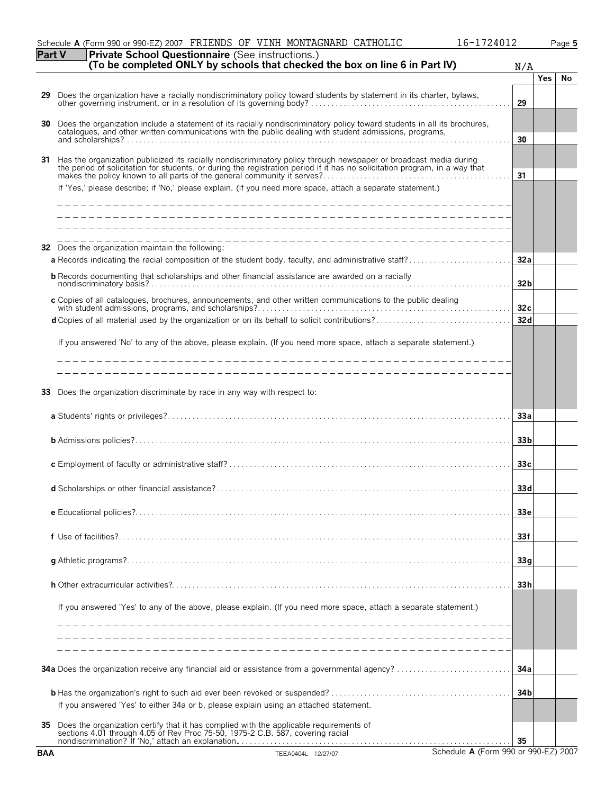|            | Schedule A (Form 990 or 990-EZ) 2007 FRIENDS OF VINH MONTAGNARD CATHOLIC                                                                                                                                                                         | 16-1724012                           |            | Page 5 |
|------------|--------------------------------------------------------------------------------------------------------------------------------------------------------------------------------------------------------------------------------------------------|--------------------------------------|------------|--------|
| Part V     | Private School Questionnaire (See instructions.)<br>(To be completed ONLY by schools that checked the box on line 6 in Part IV)                                                                                                                  | N/A                                  |            |        |
|            |                                                                                                                                                                                                                                                  |                                      | <b>Yes</b> | No     |
| 29         | Does the organization have a racially nondiscriminatory policy toward students by statement in its charter, bylaws, other governing instrument, or in a resolution of its governing body?                                                        | 29                                   |            |        |
| 30         | Does the organization include a statement of its racially nondiscriminatory policy toward students in all its brochures, catalogues, and other written communications with the public dealing with student admissions, program                   | 30                                   |            |        |
| 31         | Has the organization publicized its racially nondiscriminatory policy through newspaper or broadcast media during<br>the period of solicitation for students, or during the registration period if it has no solicitation program, in a way that | 31                                   |            |        |
|            | If 'Yes,' please describe; if 'No,' please explain. (If you need more space, attach a separate statement.)                                                                                                                                       |                                      |            |        |
| 32         | _________________________________<br>Does the organization maintain the following:                                                                                                                                                               | 32a                                  |            |        |
|            | <b>b</b> Records documenting that scholarships and other financial assistance are awarded on a racially                                                                                                                                          | 32 <sub>b</sub>                      |            |        |
|            | c Copies of all catalogues, brochures, announcements, and other written communications to the public dealing                                                                                                                                     | 32c                                  |            |        |
|            |                                                                                                                                                                                                                                                  | 32d                                  |            |        |
|            | If you answered 'No' to any of the above, please explain. (If you need more space, attach a separate statement.)                                                                                                                                 |                                      |            |        |
|            | ___________________________________                                                                                                                                                                                                              |                                      |            |        |
| 33         | Does the organization discriminate by race in any way with respect to:                                                                                                                                                                           |                                      |            |        |
|            |                                                                                                                                                                                                                                                  | 33a                                  |            |        |
|            |                                                                                                                                                                                                                                                  | 33 <sub>b</sub>                      |            |        |
|            |                                                                                                                                                                                                                                                  | 33 <sub>c</sub>                      |            |        |
|            | <b>d</b> Scholarships or other financial assistance?                                                                                                                                                                                             | 33d                                  |            |        |
|            |                                                                                                                                                                                                                                                  | 33e                                  |            |        |
|            |                                                                                                                                                                                                                                                  | 33f                                  |            |        |
|            |                                                                                                                                                                                                                                                  | 33q                                  |            |        |
|            |                                                                                                                                                                                                                                                  | 33h                                  |            |        |
|            | If you answered 'Yes' to any of the above, please explain. (If you need more space, attach a separate statement.)                                                                                                                                |                                      |            |        |
|            |                                                                                                                                                                                                                                                  |                                      |            |        |
|            |                                                                                                                                                                                                                                                  | 34a                                  |            |        |
|            | If you answered 'Yes' to either 34a or b, please explain using an attached statement.                                                                                                                                                            | 34 <sub>b</sub>                      |            |        |
| 35         | Does the organization certify that it has complied with the applicable requirements of sections 4.01 through 4.05 of Rev Proc 75-50, 1975-2 C.B. 587, covering racial<br>nondiscrimination? If 'No,' attach an explanation.                      | 35                                   |            |        |
| <b>BAA</b> | TEEA0404L 12/27/07                                                                                                                                                                                                                               | Schedule A (Form 990 or 990-EZ) 2007 |            |        |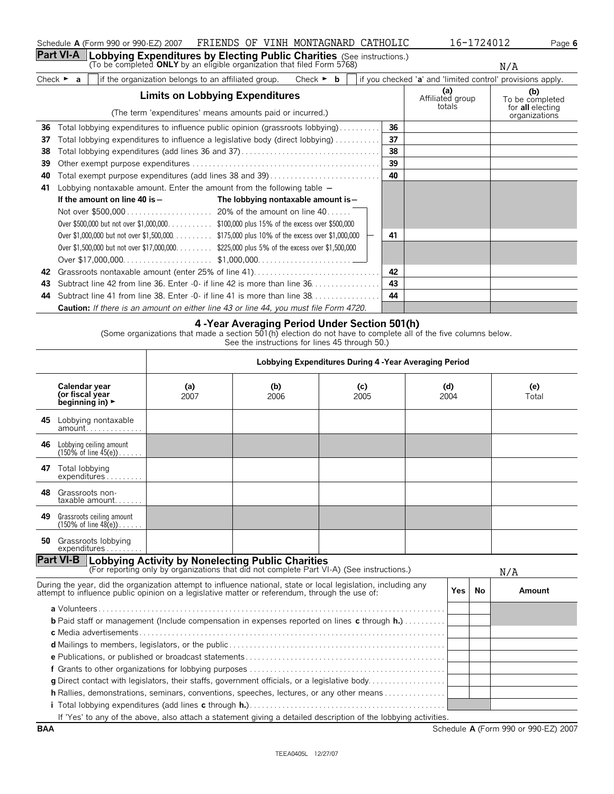|    | Calendar year<br>(or fiscal year<br>beginning in) $\blacktriangleright$ | (a)<br>2007 | (b)<br>2006 | (c)<br>2005 | (d)<br>2004 | (e)<br>Total |
|----|-------------------------------------------------------------------------|-------------|-------------|-------------|-------------|--------------|
|    | 45 Lobbying nontaxable<br>$amount \dots \dots \dots \dots$              |             |             |             |             |              |
| 46 | Lobbying ceiling amount<br>$(150\% \text{ of line } 45(e))$             |             |             |             |             |              |

| A - Year Averaging Period Under Section 501(h)                                               |     |  |
|----------------------------------------------------------------------------------------------|-----|--|
| <b>Caution:</b> If there is an amount on either line 43 or line 44, you must file Form 4720. |     |  |
| 44 Subtract line 41 from line 38. Enter -0- if line 41 is more than line 38. 1               | -44 |  |
| 43 Subtract line 42 from line 36. Enter -0- if line 42 is more than line 36. 1 43            |     |  |
|                                                                                              |     |  |
|                                                                                              |     |  |

| Check $\blacktriangleright$ | lif the organization belongs to an affiliated group. | Check $\triangleright$ <b>b</b> | $\parallel$ if you checked 'a' and 'limited control' provisions apply. |                                     |
|-----------------------------|------------------------------------------------------|---------------------------------|------------------------------------------------------------------------|-------------------------------------|
|                             | <b>Limits on Lobbying Expenditures</b>               |                                 | Affiliated group<br>totals                                             | To be completed<br>for all electing |

**Part VI-A** | Lobbying Expenditures by Electing Public Charities (See instructions.)<br>(To be completed ONLY by an eligible organization that filed Form 5768)

|    | Limits on Loppying Experimentes                                                              |    | Affiliated group | To be completed                   |
|----|----------------------------------------------------------------------------------------------|----|------------------|-----------------------------------|
|    | (The term 'expenditures' means amounts paid or incurred.)                                    |    | totals           | for all electing<br>organizations |
|    | <b>36</b> Total lobbying expenditures to influence public opinion (grassroots lobbying)      | 36 |                  |                                   |
|    | <b>37</b> Total lobbying expenditures to influence a legislative body (direct lobbying)      | 37 |                  |                                   |
|    |                                                                                              | 38 |                  |                                   |
| 39 |                                                                                              | 39 |                  |                                   |
|    | <b>40</b> Total exempt purpose expenditures (add lines 38 and 39)                            | 40 |                  |                                   |
|    | 41 Lobbying nontaxable amount. Enter the amount from the following table $-$                 |    |                  |                                   |
|    | The lobbying nontaxable amount is-<br>If the amount on line 40 is $-$                        |    |                  |                                   |
|    |                                                                                              |    |                  |                                   |
|    | Over \$500,000 but not over \$1,000,000\$100,000 plus 15% of the excess over \$500,000       |    |                  |                                   |
|    |                                                                                              | 41 |                  |                                   |
|    | Over \$1,500,000 but not over \$17,000,000. \$225,000 plus 5% of the excess over \$1,500,000 |    |                  |                                   |
|    |                                                                                              |    |                  |                                   |
|    |                                                                                              | 42 |                  |                                   |
|    | 43 Subtract line 42 from line 36. Enter -0- if line 42 is more than line 36                  | 43 |                  |                                   |

# **4 -Year Averaging Period Under Section 501(h)**

**Lobbying Expenditures During 4 -Year Averaging Period**

(Some organizations that made a section 501(h) election do not have to complete all of the five columns below. See the instructions for lines 45 through 50.)

| 46  | Lobbying ceiling amount<br>$(150\% \text{ of line } 45(e))$                                                                                                                                                      |  |                                                                                                                 |       |    |        |
|-----|------------------------------------------------------------------------------------------------------------------------------------------------------------------------------------------------------------------|--|-----------------------------------------------------------------------------------------------------------------|-------|----|--------|
| 47  | Total lobbying<br>expenditures                                                                                                                                                                                   |  |                                                                                                                 |       |    |        |
| 48. | Grassroots non-<br>$taxable$ amount                                                                                                                                                                              |  |                                                                                                                 |       |    |        |
| 49  | Grassroots ceiling amount<br>$(150\% \text{ of line } 48(e))$                                                                                                                                                    |  |                                                                                                                 |       |    |        |
| 50  | Grassroots lobbying<br>expenditures                                                                                                                                                                              |  |                                                                                                                 |       |    |        |
|     | <b>Part VI-B</b>   Lobbying Activity by Nonelecting Public Charities<br>(For reporting only by organizations that did not complete Part VI-A) (See instructions.)                                                |  |                                                                                                                 |       |    | N/A    |
|     |                                                                                                                                                                                                                  |  |                                                                                                                 |       |    |        |
|     | During the year, did the organization attempt to influence national, state or local legislation, including any<br>attempt to influence public opinion on a legislative matter or referendum, through the use of: |  |                                                                                                                 | Yes l | No | Amount |
|     | <b>b</b> Paid staff or management (Include compensation in expenses reported on lines c through $h,$ )                                                                                                           |  |                                                                                                                 |       |    |        |
|     |                                                                                                                                                                                                                  |  |                                                                                                                 |       |    |        |
|     | <b>g</b> Direct contact with legislators, their staffs, government officials, or a legislative body                                                                                                              |  |                                                                                                                 |       |    |        |
|     | h Rallies, demonstrations, seminars, conventions, speeches, lectures, or any other means                                                                                                                         |  |                                                                                                                 |       |    |        |
|     |                                                                                                                                                                                                                  |  |                                                                                                                 |       |    |        |
|     |                                                                                                                                                                                                                  |  | If 'Yes' to any of the above, also attach a statement giving a detailed description of the lobbying activities. |       |    |        |

Schedule **A** (Form 990 or 990-EZ) 2007 FRIENDS OF VINH MONTAGNARD CATHOLIC 16-1724012 Page 6

N/A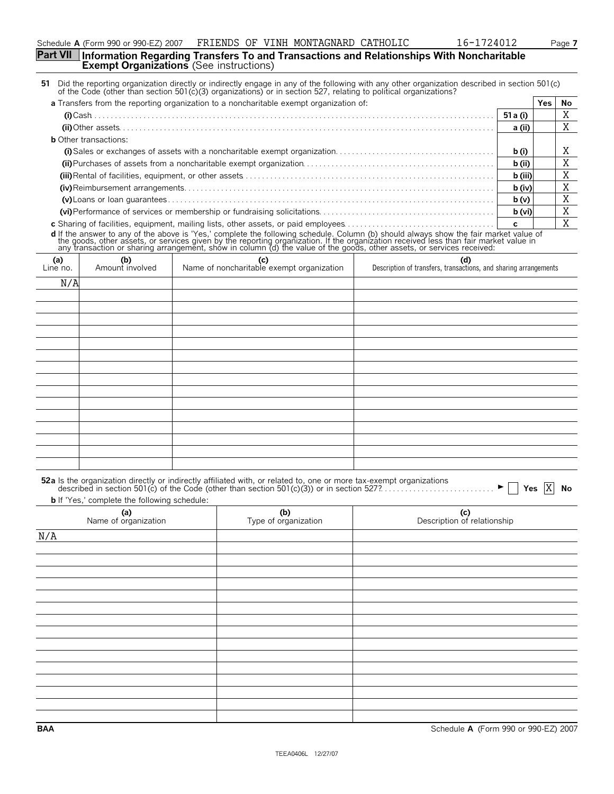|                                                                                                   | TIMENDO OL VIINI NONINGURIND CHIINOBIC |  | $\pm 0$ $\pm 1$ $\pm 2$ $\pm 2$ |
|---------------------------------------------------------------------------------------------------|----------------------------------------|--|---------------------------------|
| Part VII Information Regarding Transfers To and Transactions and Relationships With Noncharitable |                                        |  |                                 |
| <b>Exempt Organizations</b> (See instructions)                                                    |                                        |  |                                 |

|                 |                              | Part VII  Information Regarding Transfers To and Transactions and Relationships With Noncharitable<br><b>Exempt Organizations</b> (See instructions)                                                                                |                                                                         |              |     |    |
|-----------------|------------------------------|-------------------------------------------------------------------------------------------------------------------------------------------------------------------------------------------------------------------------------------|-------------------------------------------------------------------------|--------------|-----|----|
|                 |                              | 51 Did the reporting organization directly or indirectly engage in any of the following with any other organization described in section 501(c) of the Code (other than section 501(c) of the Code (other than section 501(c)       |                                                                         |              |     |    |
|                 |                              | <b>a</b> Transfers from the reporting organization to a noncharitable exempt organization of:                                                                                                                                       |                                                                         |              | Yes | No |
|                 |                              |                                                                                                                                                                                                                                     |                                                                         | 51 a (i)     |     | X  |
|                 |                              |                                                                                                                                                                                                                                     |                                                                         | a (ii)       |     | X  |
|                 | <b>b</b> Other transactions: |                                                                                                                                                                                                                                     |                                                                         |              |     |    |
|                 |                              |                                                                                                                                                                                                                                     |                                                                         | b(i)         |     | Χ  |
|                 |                              |                                                                                                                                                                                                                                     |                                                                         | $b$ (ii)     |     | X  |
|                 |                              |                                                                                                                                                                                                                                     |                                                                         | b (iii)      |     | X  |
|                 |                              |                                                                                                                                                                                                                                     |                                                                         | $b$ (iv)     |     | X  |
|                 |                              |                                                                                                                                                                                                                                     |                                                                         | b(v)         |     | X  |
|                 |                              |                                                                                                                                                                                                                                     |                                                                         | b (vi)       |     | X  |
|                 |                              |                                                                                                                                                                                                                                     |                                                                         | $\mathbf{c}$ |     | X  |
|                 |                              | <b>d</b> If the answer to any of the above is 'Yes,' complete the following schedule. Column (b) should always show the fair market value of the goods, other assets, or services given by the reporting organization. If the organ |                                                                         |              |     |    |
| (a)<br>Line no. | (b)<br>Amount involved       | (c)<br>Name of noncharitable exempt organization                                                                                                                                                                                    | (d)<br>Description of transfers, transactions, and sharing arrangements |              |     |    |
| N/A             |                              |                                                                                                                                                                                                                                     |                                                                         |              |     |    |
|                 |                              |                                                                                                                                                                                                                                     |                                                                         |              |     |    |
|                 |                              |                                                                                                                                                                                                                                     |                                                                         |              |     |    |
|                 |                              |                                                                                                                                                                                                                                     |                                                                         |              |     |    |
|                 |                              |                                                                                                                                                                                                                                     |                                                                         |              |     |    |
|                 |                              |                                                                                                                                                                                                                                     |                                                                         |              |     |    |
|                 |                              |                                                                                                                                                                                                                                     |                                                                         |              |     |    |
|                 |                              |                                                                                                                                                                                                                                     |                                                                         |              |     |    |
|                 |                              |                                                                                                                                                                                                                                     |                                                                         |              |     |    |

|  | 52a Is the organization directly or indirectly affiliated with, or related to, one or more tax-exempt organizations<br>described in section 501(c) of the Code (other than section 501(c)(3)) or in section 527? |  |
|--|------------------------------------------------------------------------------------------------------------------------------------------------------------------------------------------------------------------|--|

**b** If 'Yes,' complete the following schedule:

| (a)<br>Name of organization | (b)<br>Type of organization | (c)<br>Description of relationship |
|-----------------------------|-----------------------------|------------------------------------|
| N/A                         |                             |                                    |
|                             |                             |                                    |
|                             |                             |                                    |
|                             |                             |                                    |
|                             |                             |                                    |
|                             |                             |                                    |
|                             |                             |                                    |
|                             |                             |                                    |
|                             |                             |                                    |
|                             |                             |                                    |
|                             |                             |                                    |
|                             |                             |                                    |
|                             |                             |                                    |
|                             |                             |                                    |
|                             |                             |                                    |
|                             |                             |                                    |

**BAA** Schedule **A** (Form 990 or 990-EZ) 2007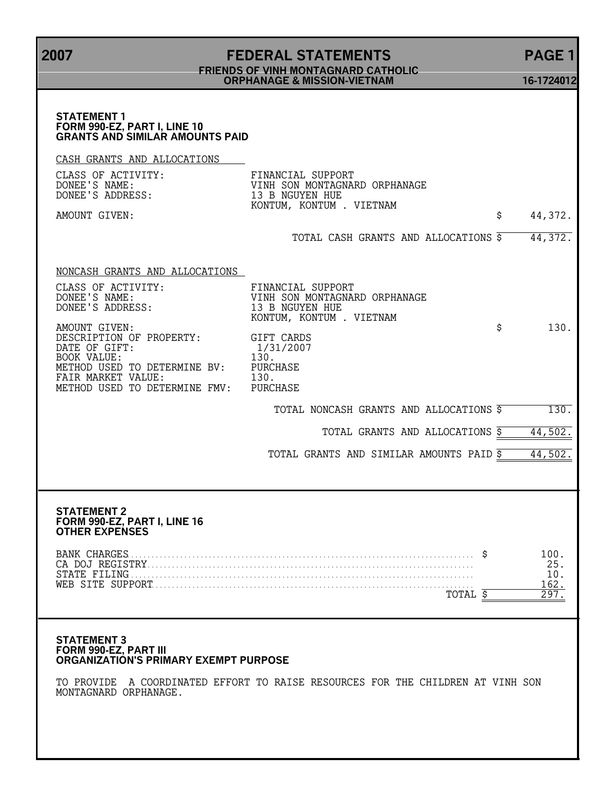**2007 FEDERAL STATEMENTS PAGE 1 FRIENDS OF VINH MONTAGNARD CATHOLIC ORPHANAGE & MISSION-VIETNAM 16-1724012 STATEMENT 1 FORM 990-EZ, PART I, LINE 10 GRANTS AND SIMILAR AMOUNTS PAID** CASH GRANTS AND ALLOCATIONS CLASS OF ACTIVITY: FINANCIAL SUPPORT<br>
DONEE'S NAME: VINH SON MONTAGNAL<br>
DONEE'S ADDRESS: 13 B NGUYEN HUE DONEE'S NAME: VINH SON MONTAGNARD ORPHANAGE DONEE'S ADDRESS: 13 B NGUYEN HUE KONTUM, KONTUM . VIETNAM AMOUNT GIVEN:  $\frac{1}{2}$  44,372. TOTAL CASH GRANTS AND ALLOCATIONS \$ 44,372. NONCASH GRANTS AND ALLOCATIONS CLASS OF ACTIVITY: FINANCIAL SUPPORT VINH SON MONTAGNARD ORPHANAGE<br>13 B NGUYEN HUE DONEE'S ADDRESS: 13 B NGUYEN HUE KONTUM, KONTUM . VIETNAM AMOUNT GIVEN:  $\begin{array}{ccc}\n\text{AMOUNT GIVER}: & \text{GIFT CARDS} \\
\text{DESCRIPTION OF PROPERTY: & \text{GIFT CARDS}\n\end{array}$ DESCRIPTION OF PROPERTY: GIFT CARDS<br>DATE OF GIFT: 1/31/2007 DATE OF GIFT:  $1/3$ <br>BOOK VALUE:  $130$ . BOOK VALUE: 130.<br>METHOD USED TO DETERMINE BV: PURCHASE METHOD USED TO DETERMINE BV: FAIR MARKET VALUE: 130. METHOD USED TO DETERMINE FMV: PURCHASE TOTAL NONCASH GRANTS AND ALLOCATIONS  $\frac{2}{5}$  130. TOTAL GRANTS AND ALLOCATIONS  $\frac{1}{5}$  44,502. TOTAL GRANTS AND SIMILAR AMOUNTS PAID \$ 44,502. **STATEMENT 2**

## **FORM 990-EZ, PART I, LINE 16 OTHER EXPENSES**

### **STATEMENT 3 FORM 990-EZ, PART III ORGANIZATION'S PRIMARY EXEMPT PURPOSE**

TO PROVIDE A COORDINATED EFFORT TO RAISE RESOURCES FOR THE CHILDREN AT VINH SON MONTAGNARD ORPHANAGE.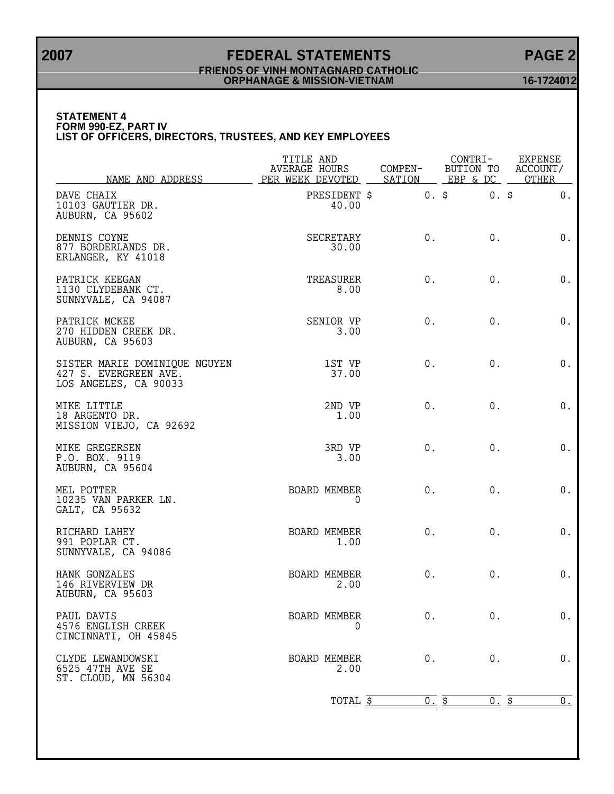## **2007 FEDERAL STATEMENTS PAGE 2 FRIENDS OF VINH MONTAGNARD CATHOLIC ORPHANAGE & MISSION-VIETNAM 16-1724012**

### **STATEMENT 4 FORM 990-EZ, PART IV LIST OF OFFICERS, DIRECTORS, TRUSTEES, AND KEY EMPLOYEES**

| NAME AND ADDRESS                                                                | TITLE AND<br><b>AVERAGE HOURS</b><br>PER WEEK DEVOTED | COMPEN-<br>SATION | CONTRI-<br>BUTION TO<br>EBP & DC | EXPENSE<br>ACCOUNT/<br>OTHER |
|---------------------------------------------------------------------------------|-------------------------------------------------------|-------------------|----------------------------------|------------------------------|
| DAVE CHAIX<br>10103 GAUTIER DR.<br>AUBURN, CA 95602                             | PRESIDENT \$<br>40.00                                 |                   | 0.5<br>$0.$ \$                   | $0$ .                        |
| DENNIS COYNE<br>877 BORDERLANDS DR.<br>ERLANGER, KY 41018                       | SECRETARY<br>30.00                                    | 0.                | $0$ .                            | $0$ .                        |
| PATRICK KEEGAN<br>1130 CLYDEBANK CT.<br>SUNNYVALE, CA 94087                     | TREASURER<br>8.00                                     | $0$ .             | $0$ .                            | $0$ .                        |
| PATRICK MCKEE<br>270 HIDDEN CREEK DR.<br>AUBURN, CA 95603                       | SENIOR VP<br>3.00                                     | $0$ .             | $0$ .                            | 0.                           |
| SISTER MARIE DOMINIQUE NGUYEN<br>427 S. EVERGREEN AVE.<br>LOS ANGELES, CA 90033 | 1ST VP<br>37.00                                       | $0$ .             | $0$ .                            | 0.                           |
| MIKE LITTLE<br>18 ARGENTO DR.<br>MISSION VIEJO, CA 92692                        | 2ND VP<br>1.00                                        | 0.                | $0$ .                            | $0$ .                        |
| MIKE GREGERSEN<br>P.O. BOX. 9119<br>AUBURN, CA 95604                            | 3RD VP<br>3.00                                        | $0$ .             | $0$ .                            | $0$ .                        |
| MEL POTTER<br>10235 VAN PARKER LN.<br>GALT, CA 95632                            | BOARD MEMBER<br>0                                     | 0.                | $0$ .                            | $0$ .                        |
| RICHARD LAHEY<br>991 POPLAR CT.<br>SUNNYVALE, CA 94086                          | BOARD MEMBER<br>1.00                                  | $0$ .             | $0$ .                            | 0.                           |
| HANK GONZALES<br>146 RIVERVIEW DR<br>AUBURN, CA 95603                           | BOARD MEMBER<br>2.00                                  | $0$ .             | $0$ .                            | $0$ .                        |
| PAUL DAVIS<br>4576 ENGLISH CREEK<br>CINCINNATI, OH 45845                        | <b>BOARD MEMBER</b><br>0                              | 0.                | 0.                               | 0.                           |
| CLYDE LEWANDOWSKI<br>6525 47TH AVE SE<br>ST. CLOUD, MN 56304                    | BOARD MEMBER<br>2.00                                  | $0$ .             | 0.                               | 0.                           |
|                                                                                 | TOTAL \$                                              | 0.5               | <u>0. \$</u>                     | $0_{\cdot}$                  |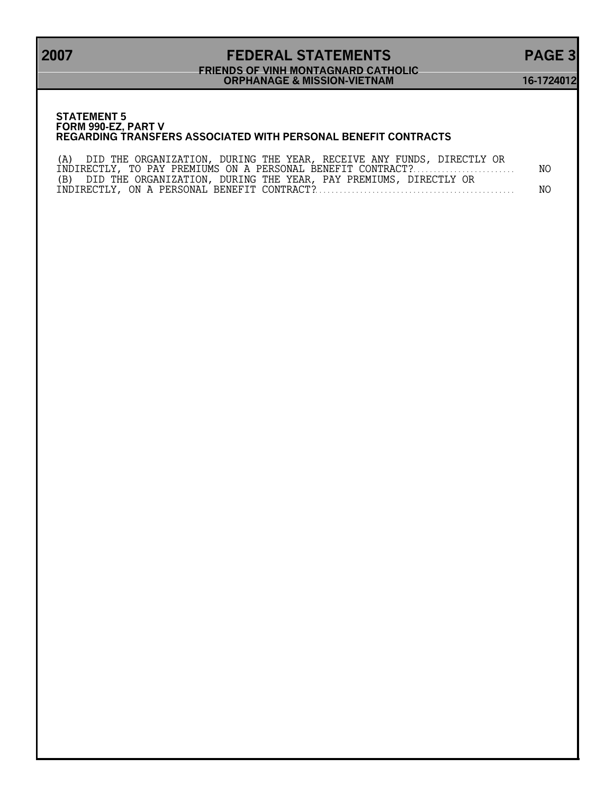## **2007 FEDERAL STATEMENTS PAGE 3 FRIENDS OF VINH MONTAGNARD CATHOLIC ORPHANAGE & MISSION-VIETNAM 16-1724012**

### **STATEMENT 5 FORM 990-EZ, PART V REGARDING TRANSFERS ASSOCIATED WITH PERSONAL BENEFIT CONTRACTS**

| (A) DID THE ORGANIZATION, DURING THE YEAR, RECEIVE ANY FUNDS, DIRECTLY OR |     |
|---------------------------------------------------------------------------|-----|
| INDIRECTLY, TO PAY PREMIUMS ON A PERSONAL BENEFIT CONTRACT?               | NO. |
| (B) DID THE ORGANIZATION, DURING THE YEAR, PAY PREMIUMS, DIRECTLY OR      |     |
|                                                                           | NO. |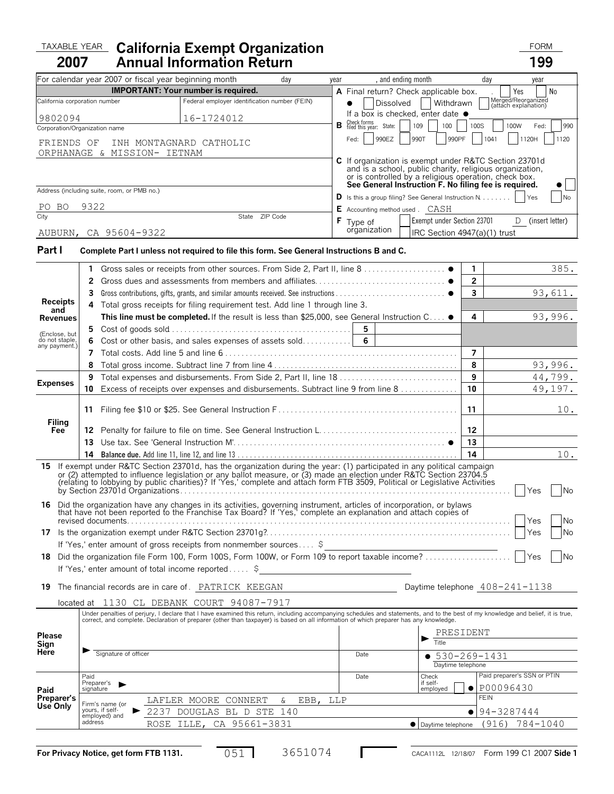### TAXABLE YEAR California Exempt Organization **Taxable Year Communist Communist Communist Communist Communist Communist Communist Communist Communist Communist Communist Communist Communist Communist Communist Communist Comm 2007 California Exempt Organization**

| 2007                            |                          | <b>Annual Information Return</b>                                                                                                                                                                                                                                                                                                                                                |      |                                                                                                                                                                            |                | 199                                        |
|---------------------------------|--------------------------|---------------------------------------------------------------------------------------------------------------------------------------------------------------------------------------------------------------------------------------------------------------------------------------------------------------------------------------------------------------------------------|------|----------------------------------------------------------------------------------------------------------------------------------------------------------------------------|----------------|--------------------------------------------|
|                                 |                          | For calendar year 2007 or fiscal year beginning month<br>day                                                                                                                                                                                                                                                                                                                    | year | , and ending month                                                                                                                                                         |                | day<br>year                                |
|                                 |                          | <b>IMPORTANT:</b> Your number is required.                                                                                                                                                                                                                                                                                                                                      |      | A Final return? Check applicable box.                                                                                                                                      |                | No<br>Yes                                  |
| California corporation number   |                          | Federal employer identification number (FEIN)                                                                                                                                                                                                                                                                                                                                   |      | Dissolved<br>Withdrawn                                                                                                                                                     |                | Merged/Reorganized<br>(attach explanation) |
| 9802094                         |                          | 16-1724012                                                                                                                                                                                                                                                                                                                                                                      |      | If a box is checked, enter date ●<br>Check forms<br>filed this year: State:                                                                                                |                |                                            |
| Corporation/Organization name   |                          |                                                                                                                                                                                                                                                                                                                                                                                 | в    | 109<br>100                                                                                                                                                                 | 100S           | 100W<br>Fed:<br>990                        |
| FRIENDS OF                      |                          | INH MONTAGNARD CATHOLIC                                                                                                                                                                                                                                                                                                                                                         |      | 990EZ<br>990T<br>990PF<br>Fed:                                                                                                                                             |                | 1041<br>1120H<br>1120                      |
|                                 |                          | ORPHANAGE & MISSION- IETNAM                                                                                                                                                                                                                                                                                                                                                     |      | C If organization is exempt under R&TC Section 23701d<br>and is a school, public charity, religious organization,<br>or is controlled by a religious operation, check box. |                |                                            |
|                                 |                          | Address (including suite, room, or PMB no.)                                                                                                                                                                                                                                                                                                                                     |      | See General Instruction F. No filing fee is required.                                                                                                                      |                |                                            |
|                                 | 9322                     |                                                                                                                                                                                                                                                                                                                                                                                 |      | <b>D</b> Is this a group filing? See General Instruction $N$                                                                                                               |                | Yes<br>No                                  |
| PO BO<br>City                   |                          | State ZIP Code                                                                                                                                                                                                                                                                                                                                                                  |      | <b>E</b> Accounting method used . CASH<br>Exempt under Section 23701                                                                                                       |                |                                            |
|                                 |                          | AUBURN, CA 95604-9322                                                                                                                                                                                                                                                                                                                                                           |      | F Type of<br>organization<br>IRC Section 4947(a)(1) trust                                                                                                                  |                | D (insert letter)                          |
| Part I                          |                          | Complete Part I unless not required to file this form. See General Instructions B and C.                                                                                                                                                                                                                                                                                        |      |                                                                                                                                                                            |                |                                            |
|                                 | 1                        |                                                                                                                                                                                                                                                                                                                                                                                 |      |                                                                                                                                                                            | 1              | 385.                                       |
|                                 | 2                        |                                                                                                                                                                                                                                                                                                                                                                                 |      |                                                                                                                                                                            | $\overline{2}$ |                                            |
|                                 | 3                        |                                                                                                                                                                                                                                                                                                                                                                                 |      |                                                                                                                                                                            | 3              | 93,611.                                    |
| <b>Receipts</b><br>and          | 4                        | Total gross receipts for filing requirement test. Add line 1 through line 3.                                                                                                                                                                                                                                                                                                    |      |                                                                                                                                                                            |                |                                            |
| Revenues                        |                          | This line must be completed. If the result is less than \$25,000, see General Instruction C .                                                                                                                                                                                                                                                                                   |      |                                                                                                                                                                            | 4              | 93,996.                                    |
| (Enclose, but                   | 5                        |                                                                                                                                                                                                                                                                                                                                                                                 |      | 5                                                                                                                                                                          |                |                                            |
| do not staple,<br>any payment.) | 6                        | Cost or other basis, and sales expenses of assets sold                                                                                                                                                                                                                                                                                                                          |      | $6\phantom{1}$                                                                                                                                                             |                |                                            |
|                                 | 7<br>8                   |                                                                                                                                                                                                                                                                                                                                                                                 |      |                                                                                                                                                                            | 7<br>8         | 93,996.                                    |
|                                 | 9                        |                                                                                                                                                                                                                                                                                                                                                                                 |      |                                                                                                                                                                            | 9              | 44,799.                                    |
| <b>Expenses</b>                 | 10                       | Excess of receipts over expenses and disbursements. Subtract line 9 from line 8                                                                                                                                                                                                                                                                                                 |      |                                                                                                                                                                            | 10             | 49,197.                                    |
|                                 |                          |                                                                                                                                                                                                                                                                                                                                                                                 |      |                                                                                                                                                                            |                |                                            |
|                                 | 11                       |                                                                                                                                                                                                                                                                                                                                                                                 |      |                                                                                                                                                                            | 11             | 10.                                        |
| Filing<br>Fee                   | 12.                      |                                                                                                                                                                                                                                                                                                                                                                                 |      |                                                                                                                                                                            | 12             |                                            |
|                                 | 13.                      |                                                                                                                                                                                                                                                                                                                                                                                 |      |                                                                                                                                                                            | 13             |                                            |
|                                 | 14                       |                                                                                                                                                                                                                                                                                                                                                                                 |      |                                                                                                                                                                            | 14             | 10.                                        |
|                                 |                          | 15 If exempt under R&TC Section 23701d, has the organization during the year: (1) participated in any political campaign<br>or (2) attempted to influence legislation or any ballot measure, or (3) made an election under R&TC Section 23704.5<br>(relating to lobbying by public charities)? If 'Yes,' complete and attach form FTB 3509, Political or Legislative Activities |      |                                                                                                                                                                            |                | <b>No</b><br>Yes                           |
|                                 |                          | <b>16</b> Did the organization have any changes in its activities, governing instrument, articles of incorporation, or bylaws<br>that have not been reported to the Franchise Tax Board? If 'Yes,' complete an explanation and attach copies of<br>revised documents                                                                                                            |      |                                                                                                                                                                            |                | <b>No</b><br>Yes                           |
|                                 |                          | If 'Yes,' enter amount of gross receipts from nonmember sources \$                                                                                                                                                                                                                                                                                                              |      |                                                                                                                                                                            |                | Yes<br>No                                  |
|                                 |                          | 18 Did the organization file Form 100, Form 100S, Form 100W, or Form 109 to report taxable income?                                                                                                                                                                                                                                                                              |      |                                                                                                                                                                            |                | Yes<br><b>No</b>                           |
|                                 |                          | If 'Yes,' enter amount of total income reported \$                                                                                                                                                                                                                                                                                                                              |      |                                                                                                                                                                            |                |                                            |
| 19                              |                          | The financial records are in care of. PATRICK KEEGAN                                                                                                                                                                                                                                                                                                                            |      |                                                                                                                                                                            |                | Daytime telephone $408 - 241 - 1138$       |
|                                 |                          | located at 1130 CL DEBANK COURT 94087-7917                                                                                                                                                                                                                                                                                                                                      |      |                                                                                                                                                                            |                |                                            |
|                                 |                          | Under penalties of perjury, I declare that I have examined this return, including accompanying schedules and statements, and to the best of my knowledge and belief, it is true,<br>correct, and complete. Declaration of preparer (other than taxpayer) is based on all information of which preparer has any knowledge.                                                       |      |                                                                                                                                                                            |                |                                            |
| Please                          |                          |                                                                                                                                                                                                                                                                                                                                                                                 |      | PRESIDENT                                                                                                                                                                  |                |                                            |
| Sign                            |                          |                                                                                                                                                                                                                                                                                                                                                                                 |      | Title                                                                                                                                                                      |                |                                            |
| Here                            |                          | Signature of officer                                                                                                                                                                                                                                                                                                                                                            |      | Date<br>$• 530 - 269 - 1431$                                                                                                                                               |                |                                            |
|                                 |                          |                                                                                                                                                                                                                                                                                                                                                                                 |      | Daytime telephone                                                                                                                                                          |                | Paid preparer's SSN or PTIN                |
|                                 | Paid<br>Preparer's       |                                                                                                                                                                                                                                                                                                                                                                                 |      | Check<br>Date<br>if self-                                                                                                                                                  | $\bullet$      | P00096430                                  |
| Paid<br>Preparer's              | signature                | LAFLER MOORE CONNERT<br>EBB,<br>&                                                                                                                                                                                                                                                                                                                                               | LLP  | employed                                                                                                                                                                   |                | <b>FEIN</b>                                |
| Use Only                        |                          | Firm's name (or<br>yours, if self-<br>2237 DOUGLAS BL D STE 140                                                                                                                                                                                                                                                                                                                 |      |                                                                                                                                                                            |                | 94-3287444                                 |
|                                 | employed) and<br>address |                                                                                                                                                                                                                                                                                                                                                                                 |      |                                                                                                                                                                            |                |                                            |
|                                 |                          | CA 95661-3831<br>ROSE ILLE,                                                                                                                                                                                                                                                                                                                                                     |      | Daytime telephone                                                                                                                                                          |                | (916) 784-1040                             |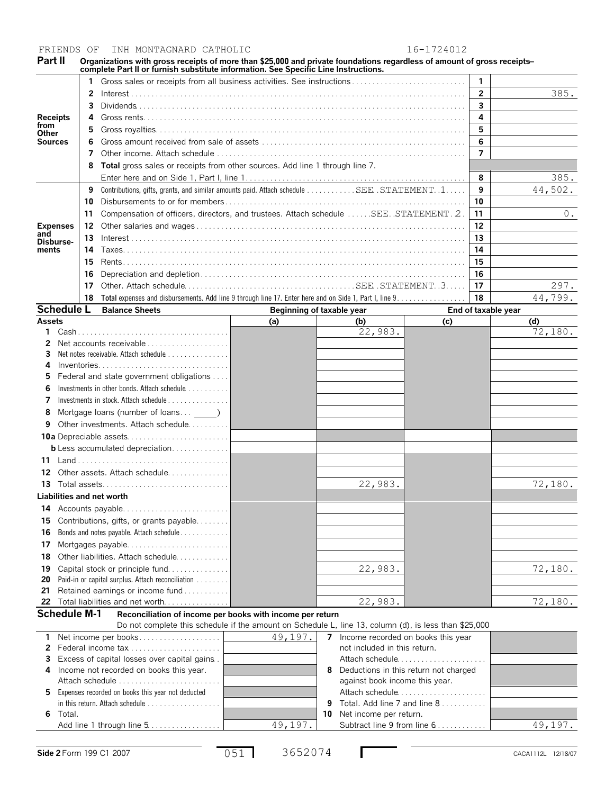FRIENDS OF INH MONTAGNARD CATHOLIC 16-1724012

Part II Organizations with gross receipts of more than \$25,000 and private foundations regardless of amount of gross receipts—<br>complete Part II or furnish substitute information. See Specific Line Instructions.

|                   |                                                    | Gross sales or receipts from all business activities. See instructions                       |     |     |                     | $\mathbf{1}$   |         |
|-------------------|----------------------------------------------------|----------------------------------------------------------------------------------------------|-----|-----|---------------------|----------------|---------|
| <b>Receipts</b>   | 2                                                  |                                                                                              |     |     |                     | $\overline{2}$ | 385.    |
|                   | 3                                                  |                                                                                              |     |     |                     | 3              |         |
|                   | 4                                                  |                                                                                              |     |     |                     | 4              |         |
| from<br>Other     | 5.                                                 |                                                                                              |     |     |                     | 5              |         |
| Sources           |                                                    |                                                                                              |     |     |                     | 6              |         |
|                   | 7                                                  |                                                                                              |     |     |                     | $\overline{7}$ |         |
|                   |                                                    | <b>Total</b> gross sales or receipts from other sources. Add line 1 through line 7.          |     |     |                     |                |         |
|                   |                                                    |                                                                                              |     |     |                     | 8              | 385.    |
|                   |                                                    | Contributions, gifts, grants, and similar amounts paid. Attach schedule SEE. STATEMENT. . 1. |     |     |                     | 9              | 44,502. |
|                   | 10                                                 |                                                                                              |     |     |                     | 10             |         |
|                   | 11                                                 | Compensation of officers, directors, and trustees. Attach schedule SEE. STATEMENT. 2.        |     |     |                     | 11             | 0.      |
| <b>Expenses</b>   | 12                                                 |                                                                                              |     |     |                     | 12             |         |
| and<br>Dishurse-  | 13                                                 |                                                                                              |     |     |                     | 13             |         |
| ments             | 14                                                 |                                                                                              |     |     |                     | 14             |         |
|                   | 15                                                 |                                                                                              |     |     |                     | 15             |         |
|                   | 16                                                 |                                                                                              |     |     |                     | 16             |         |
|                   | 17                                                 |                                                                                              |     |     |                     | 17             | 297.    |
|                   | 18                                                 |                                                                                              |     |     |                     | 18             | 44,799. |
| <b>Schedule L</b> | <b>Balance Sheets</b><br>Beginning of taxable year |                                                                                              |     |     | End of taxable year |                |         |
| <b>Assets</b>     |                                                    |                                                                                              | (a) | (b) | (c)                 |                | (d)     |

| <b>Assets</b> |                                                   | (a) | (b)     | (c) | (d)     |
|---------------|---------------------------------------------------|-----|---------|-----|---------|
|               |                                                   |     | 22,983. |     | 72,180. |
|               |                                                   |     |         |     |         |
| 3             | Net notes receivable. Attach schedule             |     |         |     |         |
| 4             | Inventories                                       |     |         |     |         |
| 5             | Federal and state government obligations          |     |         |     |         |
| 6             | Investments in other bonds. Attach schedule       |     |         |     |         |
|               | Investments in stock. Attach schedule             |     |         |     |         |
| 8             | Mortgage loans (number of loans )                 |     |         |     |         |
| 9             | Other investments. Attach schedule                |     |         |     |         |
|               |                                                   |     |         |     |         |
|               | <b>b</b> Less accumulated depreciation            |     |         |     |         |
| 11            |                                                   |     |         |     |         |
| 12            | Other assets. Attach schedule                     |     |         |     |         |
| 13            | Total assets                                      |     | 22,983. |     | 72,180. |
|               | Liabilities and net worth                         |     |         |     |         |
| 14            | Accounts payable                                  |     |         |     |         |
| 15            | Contributions, gifts, or grants payable           |     |         |     |         |
| 16            | Bonds and notes payable. Attach schedule          |     |         |     |         |
| 17            |                                                   |     |         |     |         |
| 18            | Other liabilities. Attach schedule                |     |         |     |         |
| 19            | Capital stock or principle fund                   |     | 22,983. |     | 72,180. |
| 20            | Paid-in or capital surplus. Attach reconciliation |     |         |     |         |
| 21            | Retained earnings or income fund                  |     |         |     |         |
| 22            | Total liabilities and net worth                   |     | 22,983. |     | 72,180. |

**Schedule M-1 Reconciliation of income per books with income per return**

Do not complete this schedule if the amount on Schedule L, line 13, column (d), is less than \$25,000  **1** Net income per books. . . . . . . . . . . . . . . . . . . .  **2** Federal income tax. . . . . . . . . . . . . . . . . . . . . . .  **3** Excess of capital losses over capital gains. .  **4** Income not recorded on books this year. Attach schedule . . . . . . . . . . . . . . . . . . . . . . . . .  **5** Expenses recorded on books this year not deducted in this return. Attach schedule . . . . . . . . . . . . . . . . . . **6** Total. Add line 1 through line 5. . . . . . . . . . . . **7** Income recorded on books this year not included in this return. Attach schedule....................  **8** Deductions in this return not charged against book income this year. Attach schedule................ **9** Total. Add line 7 and line 8. . . . . . . . . . . . **10** Net income per return. 49, 197. Subtract line 9 from line 6................ | 49, 197. 49,197.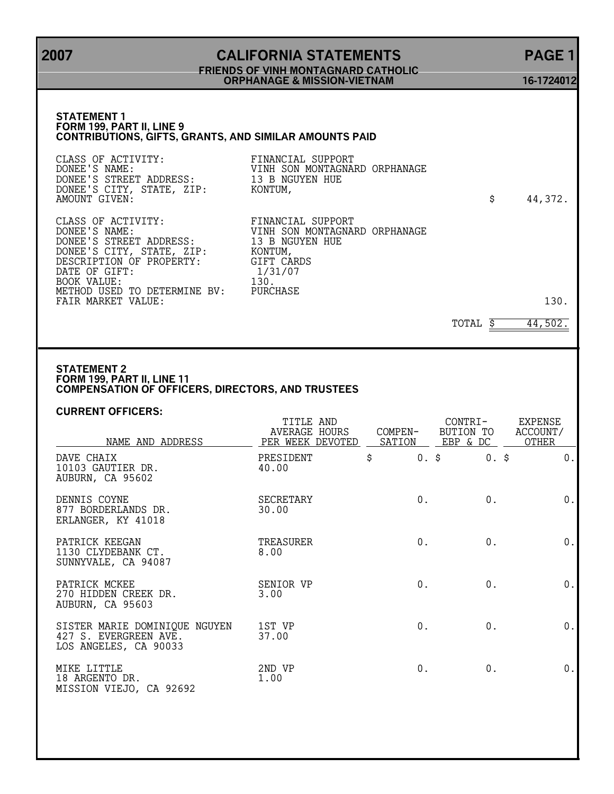## **2007 CALIFORNIA STATEMENTS PAGE 1 FRIENDS OF VINH MONTAGNARD CATHOLIC ORPHANAGE & MISSION-VIETNAM 16-1724012**

## **STATEMENT 1 FORM 199, PART II, LINE 9 CONTRIBUTIONS, GIFTS, GRANTS, AND SIMILAR AMOUNTS PAID**

| CLASS OF ACTIVITY:<br>DONEE'S NAME:<br>DONEE'S STREET ADDRESS:<br>DONEE'S CITY, STATE, ZIP:<br>AMOUNT GIVEN:                                                                                                         | FINANCIAL SUPPORT<br>VINH SON MONTAGNARD ORPHANAGE<br>13 B NGUYEN HUE<br>KONTUM,                                              | \$    | 44,372. |
|----------------------------------------------------------------------------------------------------------------------------------------------------------------------------------------------------------------------|-------------------------------------------------------------------------------------------------------------------------------|-------|---------|
| CLASS OF ACTIVITY:<br>DONEE'S NAME:<br>DONEE'S STREET ADDRESS:<br>DONEE'S CITY, STATE, ZIP:<br>DESCRIPTION OF PROPERTY:<br>DATE OF GIFT:<br><b>BOOK VALUE:</b><br>METHOD USED TO DETERMINE BV:<br>FAIR MARKET VALUE: | FINANCIAL SUPPORT<br>VINH SON MONTAGNARD ORPHANAGE<br>13 B NGUYEN HUE<br>KONTUM,<br>GIFT CARDS<br>1/31/07<br>130.<br>PURCHASE |       | 130.    |
|                                                                                                                                                                                                                      |                                                                                                                               | TOTAL | 44,502. |

## **STATEMENT 2 FORM 199, PART II, LINE 11 COMPENSATION OF OFFICERS, DIRECTORS, AND TRUSTEES**

## **CURRENT OFFICERS:**

| NAME AND ADDRESS                                                                | TITLE AND<br>AVERAGE HOURS<br>PER WEEK DEVOTED | COMPEN- | CONTRI-<br>BUTION TO<br>SATION EBP & DC | <b>EXPENSE</b><br>ACCOUNT/<br>OTHER |
|---------------------------------------------------------------------------------|------------------------------------------------|---------|-----------------------------------------|-------------------------------------|
| DAVE CHAIX<br>10103 GAUTIER DR.<br>AUBURN, CA 95602                             | PRESIDENT<br>40.00                             | \$      | $0.$ \$<br>$0.$ \$                      | $0$ .                               |
| DENNIS COYNE<br>877 BORDERLANDS DR.<br>ERLANGER, KY 41018                       | SECRETARY<br>30.00                             | $0$ .   | $0$ .                                   | 0.                                  |
| PATRICK KEEGAN<br>1130 CLYDEBANK CT.<br>SUNNYVALE, CA 94087                     | TREASURER<br>8.00                              | 0.      | 0.                                      | 0.                                  |
| PATRICK MCKEE<br>270 HIDDEN CREEK DR.<br>AUBURN, CA 95603                       | SENIOR VP<br>3.00                              | 0.      | 0.                                      | $0$ .                               |
| SISTER MARIE DOMINIQUE NGUYEN<br>427 S. EVERGREEN AVE.<br>LOS ANGELES, CA 90033 | 1ST VP<br>37.00                                | 0.      | 0.                                      | $0$ .                               |
| MIKE LITTLE<br>18 ARGENTO DR.<br>MISSION VIEJO, CA 92692                        | 2ND VP<br>1.00                                 | 0.      | 0.                                      | 0.                                  |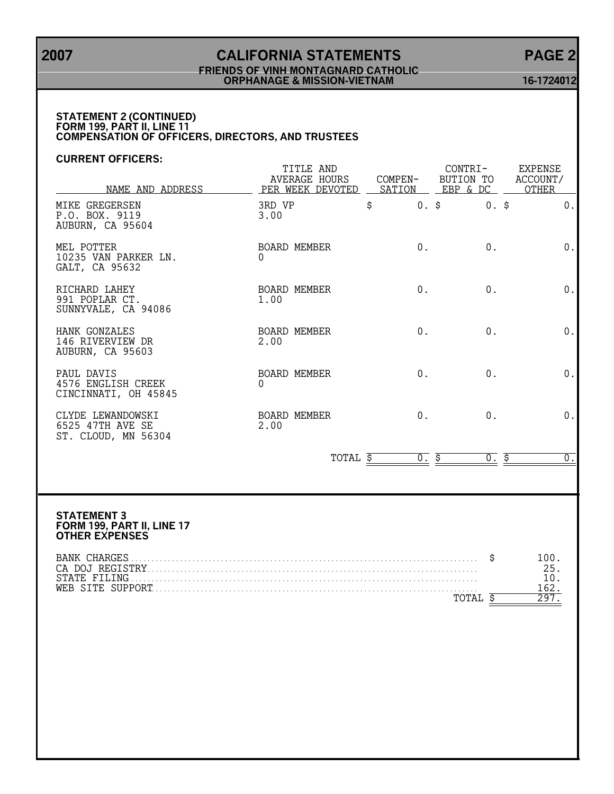## **2007 CALIFORNIA STATEMENTS PAGE 2 FRIENDS OF VINH MONTAGNARD CATHOLIC ORPHANAGE & MISSION-VIETNAM 16-1724012**

## **STATEMENT 2 (CONTINUED) FORM 199, PART II, LINE 11 COMPENSATION OF OFFICERS, DIRECTORS, AND TRUSTEES**

## **CURRENT OFFICERS:**

| NAME AND ADDRESS                                             | TITLE AND<br>AVERAGE HOURS<br>PER WEEK DEVOTED | COMPEN- | CONTRI-<br>BUTION TO<br>SATION EBP & DC | <b>EXPENSE</b><br>ACCOUNT/<br>OTHER |  |
|--------------------------------------------------------------|------------------------------------------------|---------|-----------------------------------------|-------------------------------------|--|
| MIKE GREGERSEN<br>P.O. BOX. 9119<br>AUBURN, CA 95604         | 3RD VP<br>3.00                                 | Ś.      | $0.$ \$<br>$0.$ \$                      | 0.                                  |  |
| MEL POTTER<br>10235 VAN PARKER LN.<br>GALT, CA 95632         | BOARD MEMBER<br>0                              | 0.      | 0.                                      | 0.                                  |  |
| RICHARD LAHEY<br>991 POPLAR CT.<br>SUNNYVALE, CA 94086       | BOARD MEMBER<br>1.00                           | $0$ .   | $0$ .                                   | $0$ .                               |  |
| HANK GONZALES<br>146 RIVERVIEW DR<br>AUBURN, CA 95603        | BOARD MEMBER<br>2.00                           | $0$ .   | 0.                                      | 0.                                  |  |
| PAUL DAVIS<br>4576 ENGLISH CREEK<br>CINCINNATI, OH 45845     | BOARD MEMBER<br>$\Omega$                       | 0.      | 0.                                      | 0.                                  |  |
| CLYDE LEWANDOWSKI<br>6525 47TH AVE SE<br>ST. CLOUD, MN 56304 | BOARD MEMBER<br>2.00                           | $0$ .   | 0.                                      | 0.                                  |  |

TOTAL  $\frac{5}{5}$  0.  $\frac{5}{5}$  0.  $\frac{5}{5}$  0.

#### **STATEMENT 3 FORM 199, PART II, LINE 17 OTHER EXPENSES**